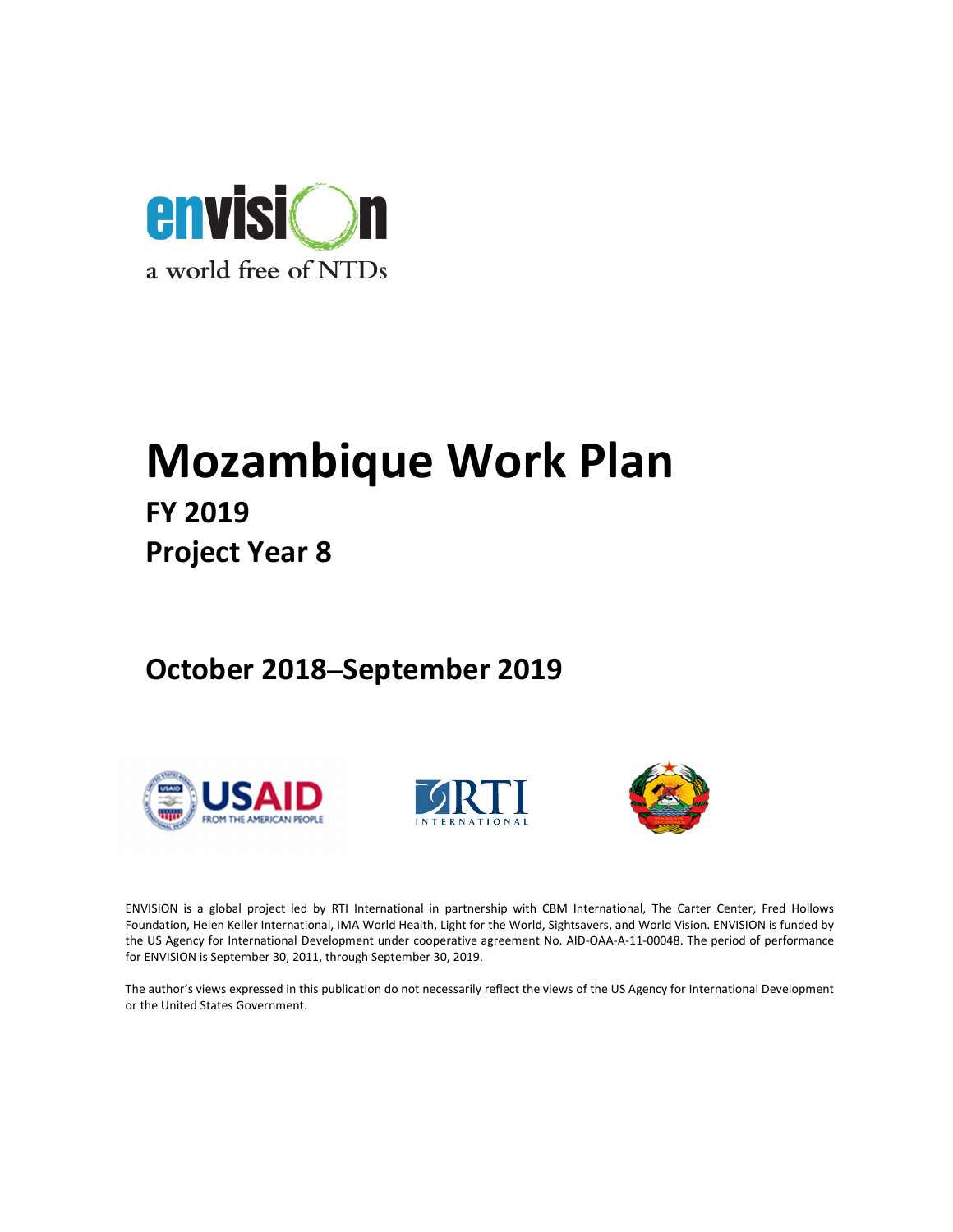

# Mozambique Work Plan

FY 2019 Project Year 8

October 2018**–**September 2019







ENVISION is a global project led by RTI International in partnership with CBM International, The Carter Center, Fred Hollows Foundation, Helen Keller International, IMA World Health, Light for the World, Sightsavers, and World Vision. ENVISION is funded by the US Agency for International Development under cooperative agreement No. AID-OAA-A-11-00048. The period of performance for ENVISION is September 30, 2011, through September 30, 2019.

The author's views expressed in this publication do not necessarily reflect the views of the US Agency for International Development or the United States Government.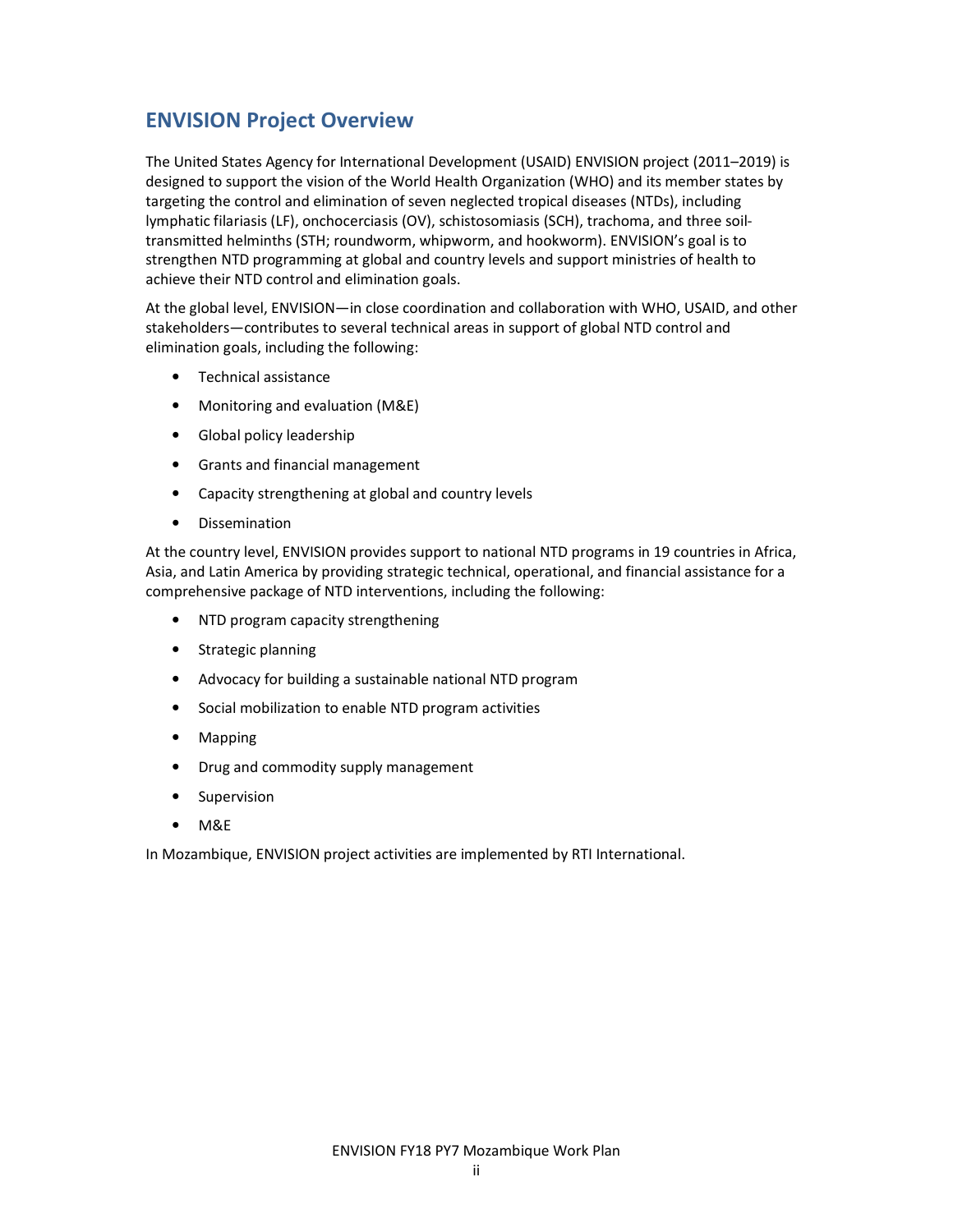# ENVISION Project Overview

The United States Agency for International Development (USAID) ENVISION project (2011–2019) is designed to support the vision of the World Health Organization (WHO) and its member states by targeting the control and elimination of seven neglected tropical diseases (NTDs), including lymphatic filariasis (LF), onchocerciasis (OV), schistosomiasis (SCH), trachoma, and three soiltransmitted helminths (STH; roundworm, whipworm, and hookworm). ENVISION's goal is to strengthen NTD programming at global and country levels and support ministries of health to achieve their NTD control and elimination goals.

At the global level, ENVISION—in close coordination and collaboration with WHO, USAID, and other stakeholders—contributes to several technical areas in support of global NTD control and elimination goals, including the following:

- Technical assistance
- Monitoring and evaluation (M&E)
- Global policy leadership
- Grants and financial management
- Capacity strengthening at global and country levels
- Dissemination

At the country level, ENVISION provides support to national NTD programs in 19 countries in Africa, Asia, and Latin America by providing strategic technical, operational, and financial assistance for a comprehensive package of NTD interventions, including the following:

- NTD program capacity strengthening
- Strategic planning
- Advocacy for building a sustainable national NTD program
- Social mobilization to enable NTD program activities
- Mapping
- Drug and commodity supply management
- Supervision
- M&E

In Mozambique, ENVISION project activities are implemented by RTI International.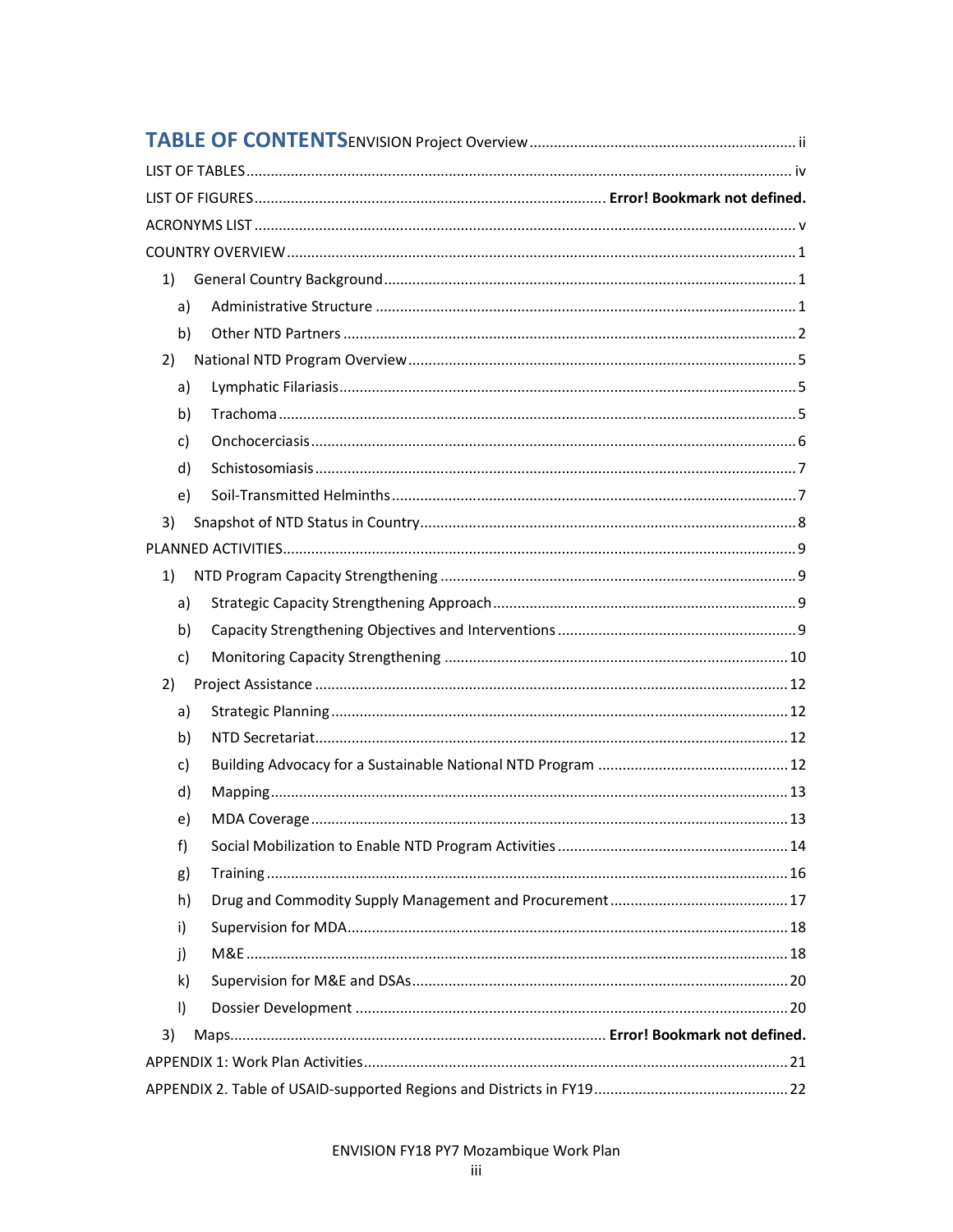| 1)           |  |
|--------------|--|
| a)           |  |
| b)           |  |
| 2)           |  |
| a)           |  |
| b)           |  |
| c)           |  |
| d)           |  |
| e)           |  |
| 3)           |  |
|              |  |
| 1)           |  |
| a)           |  |
| b)           |  |
| c)           |  |
| 2)           |  |
| a)           |  |
| b)           |  |
| c)           |  |
| d)           |  |
| e)           |  |
| f)           |  |
| g)           |  |
| h)           |  |
| i)           |  |
| j)           |  |
| $\mathsf{k}$ |  |
| $\vert$      |  |
| 3)           |  |
|              |  |
|              |  |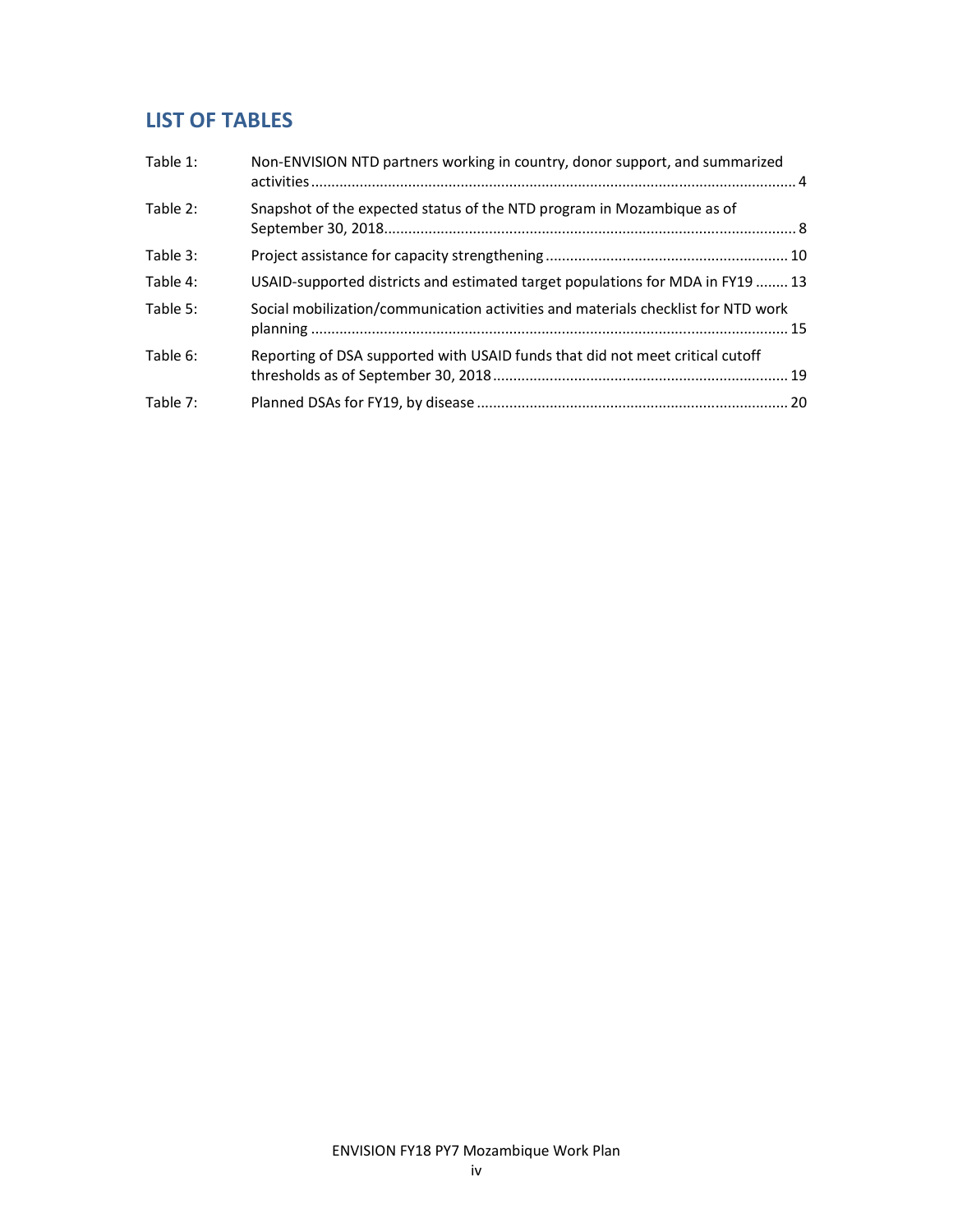# LIST OF TABLES

| Table 1: | Non-ENVISION NTD partners working in country, donor support, and summarized       |  |
|----------|-----------------------------------------------------------------------------------|--|
| Table 2: | Snapshot of the expected status of the NTD program in Mozambique as of            |  |
| Table 3: |                                                                                   |  |
| Table 4: | USAID-supported districts and estimated target populations for MDA in FY19  13    |  |
| Table 5: | Social mobilization/communication activities and materials checklist for NTD work |  |
| Table 6: | Reporting of DSA supported with USAID funds that did not meet critical cutoff     |  |
| Table 7: |                                                                                   |  |
|          |                                                                                   |  |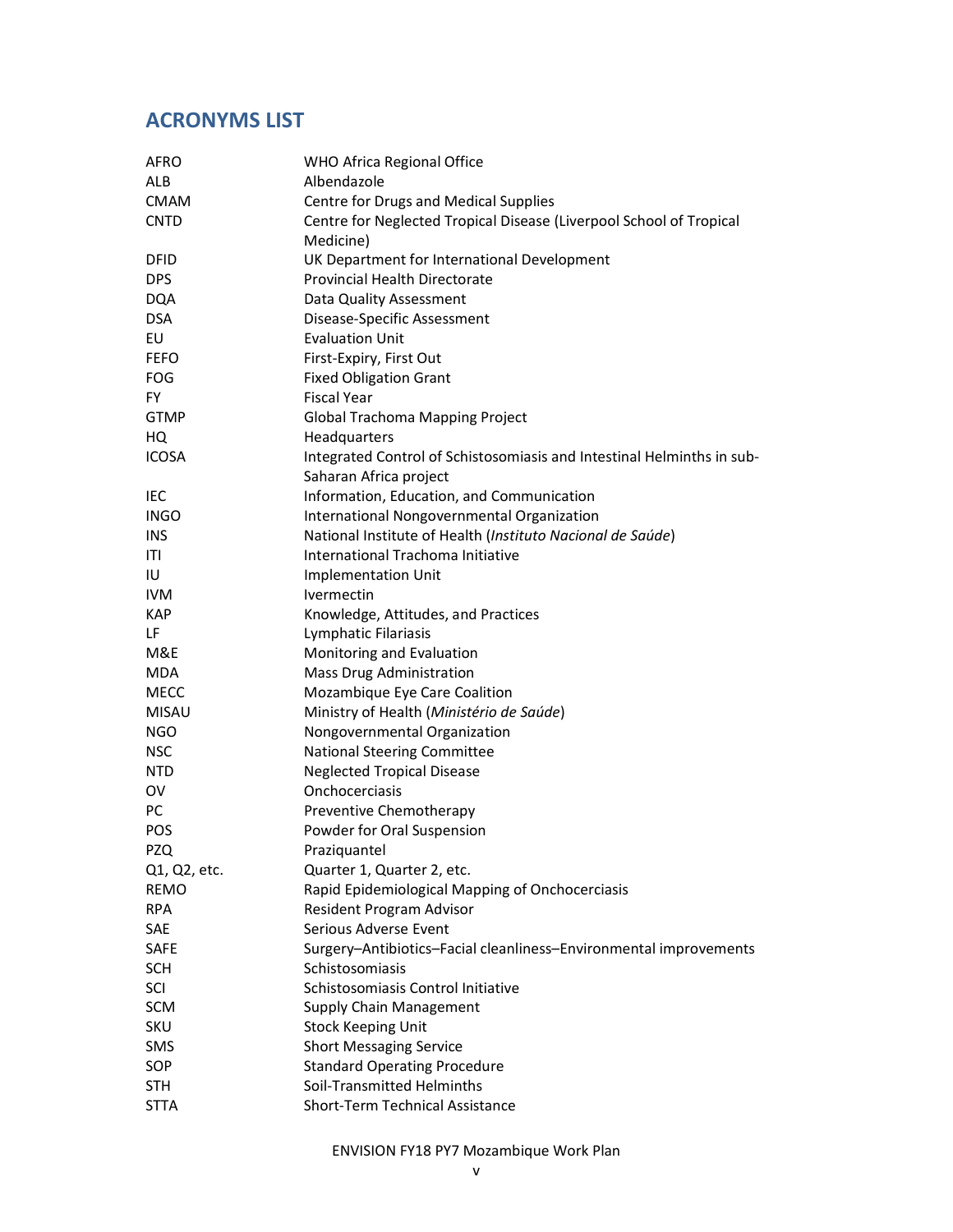# ACRONYMS LIST

| AFRO         | WHO Africa Regional Office                                             |
|--------------|------------------------------------------------------------------------|
| <b>ALB</b>   | Albendazole                                                            |
| <b>CMAM</b>  | Centre for Drugs and Medical Supplies                                  |
| <b>CNTD</b>  | Centre for Neglected Tropical Disease (Liverpool School of Tropical    |
|              | Medicine)                                                              |
| <b>DFID</b>  | UK Department for International Development                            |
| <b>DPS</b>   | Provincial Health Directorate                                          |
| <b>DQA</b>   | Data Quality Assessment                                                |
| <b>DSA</b>   | Disease-Specific Assessment                                            |
| EU           | <b>Evaluation Unit</b>                                                 |
| <b>FEFO</b>  | First-Expiry, First Out                                                |
| <b>FOG</b>   | <b>Fixed Obligation Grant</b>                                          |
| FY           | <b>Fiscal Year</b>                                                     |
| <b>GTMP</b>  | Global Trachoma Mapping Project                                        |
| HQ           | Headquarters                                                           |
| <b>ICOSA</b> | Integrated Control of Schistosomiasis and Intestinal Helminths in sub- |
|              | Saharan Africa project                                                 |
| IEC          | Information, Education, and Communication                              |
| <b>INGO</b>  | International Nongovernmental Organization                             |
| <b>INS</b>   | National Institute of Health (Instituto Nacional de Saúde)             |
| ITI          | International Trachoma Initiative                                      |
| IU           | <b>Implementation Unit</b>                                             |
| <b>IVM</b>   | Ivermectin                                                             |
| <b>KAP</b>   | Knowledge, Attitudes, and Practices                                    |
| LF           | Lymphatic Filariasis                                                   |
| M&E          | Monitoring and Evaluation                                              |
| <b>MDA</b>   | <b>Mass Drug Administration</b>                                        |
| <b>MECC</b>  | Mozambique Eye Care Coalition                                          |
| <b>MISAU</b> | Ministry of Health (Ministério de Saúde)                               |
| <b>NGO</b>   | Nongovernmental Organization                                           |
| <b>NSC</b>   | National Steering Committee                                            |
| <b>NTD</b>   | <b>Neglected Tropical Disease</b>                                      |
| OV           | Onchocerciasis                                                         |
| PC           | Preventive Chemotherapy                                                |
| POS          | Powder for Oral Suspension                                             |
| <b>PZQ</b>   | Praziquantel                                                           |
| Q1, Q2, etc. | Quarter 1, Quarter 2, etc.                                             |
| <b>REMO</b>  | Rapid Epidemiological Mapping of Onchocerciasis                        |
| <b>RPA</b>   | Resident Program Advisor                                               |
| SAE          | Serious Adverse Event                                                  |
| <b>SAFE</b>  | Surgery-Antibiotics-Facial cleanliness-Environmental improvements      |
| <b>SCH</b>   | Schistosomiasis                                                        |
| SCI          | Schistosomiasis Control Initiative                                     |
| SCM          | <b>Supply Chain Management</b>                                         |
| <b>SKU</b>   | <b>Stock Keeping Unit</b>                                              |
| SMS          | <b>Short Messaging Service</b>                                         |
| SOP          | <b>Standard Operating Procedure</b>                                    |
| STH          | Soil-Transmitted Helminths                                             |
| <b>STTA</b>  | Short-Term Technical Assistance                                        |

ENVISION FY18 PY7 Mozambique Work Plan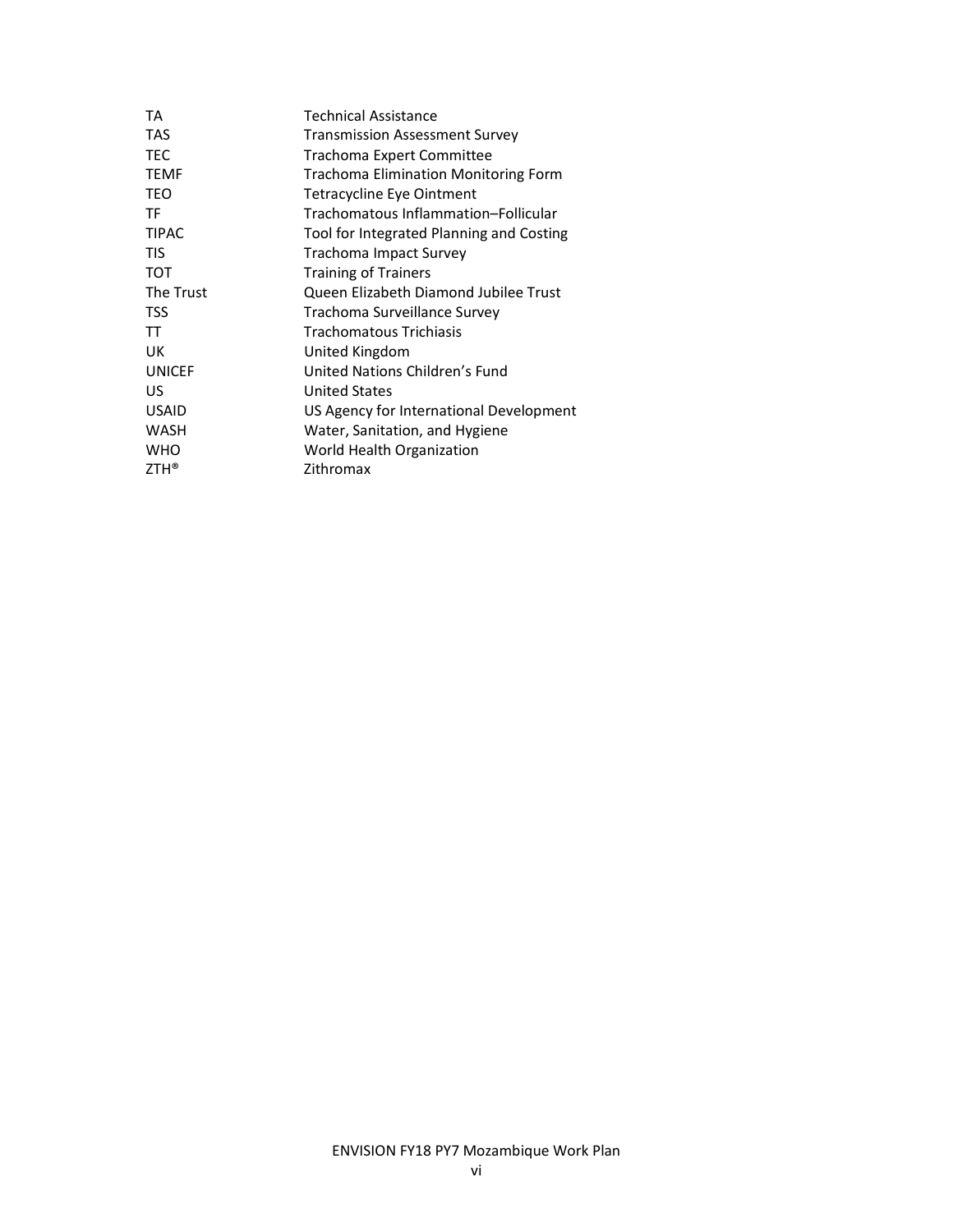| TA            | Technical Assistance                        |
|---------------|---------------------------------------------|
| <b>TAS</b>    | <b>Transmission Assessment Survey</b>       |
| <b>TEC</b>    | Trachoma Expert Committee                   |
| <b>TEMF</b>   | <b>Trachoma Elimination Monitoring Form</b> |
| TEO           | Tetracycline Eye Ointment                   |
| TF            | Trachomatous Inflammation-Follicular        |
| <b>TIPAC</b>  | Tool for Integrated Planning and Costing    |
| TIS           | <b>Trachoma Impact Survey</b>               |
| <b>TOT</b>    | <b>Training of Trainers</b>                 |
| The Trust     | Queen Elizabeth Diamond Jubilee Trust       |
| TSS           | Trachoma Surveillance Survey                |
| TT            | <b>Trachomatous Trichiasis</b>              |
| UK            | United Kingdom                              |
| <b>UNICEF</b> | United Nations Children's Fund              |
| US            | <b>United States</b>                        |
| <b>USAID</b>  | US Agency for International Development     |
| <b>WASH</b>   | Water, Sanitation, and Hygiene              |
| <b>WHO</b>    | World Health Organization                   |
| $ZTH^*$       | Zithromax                                   |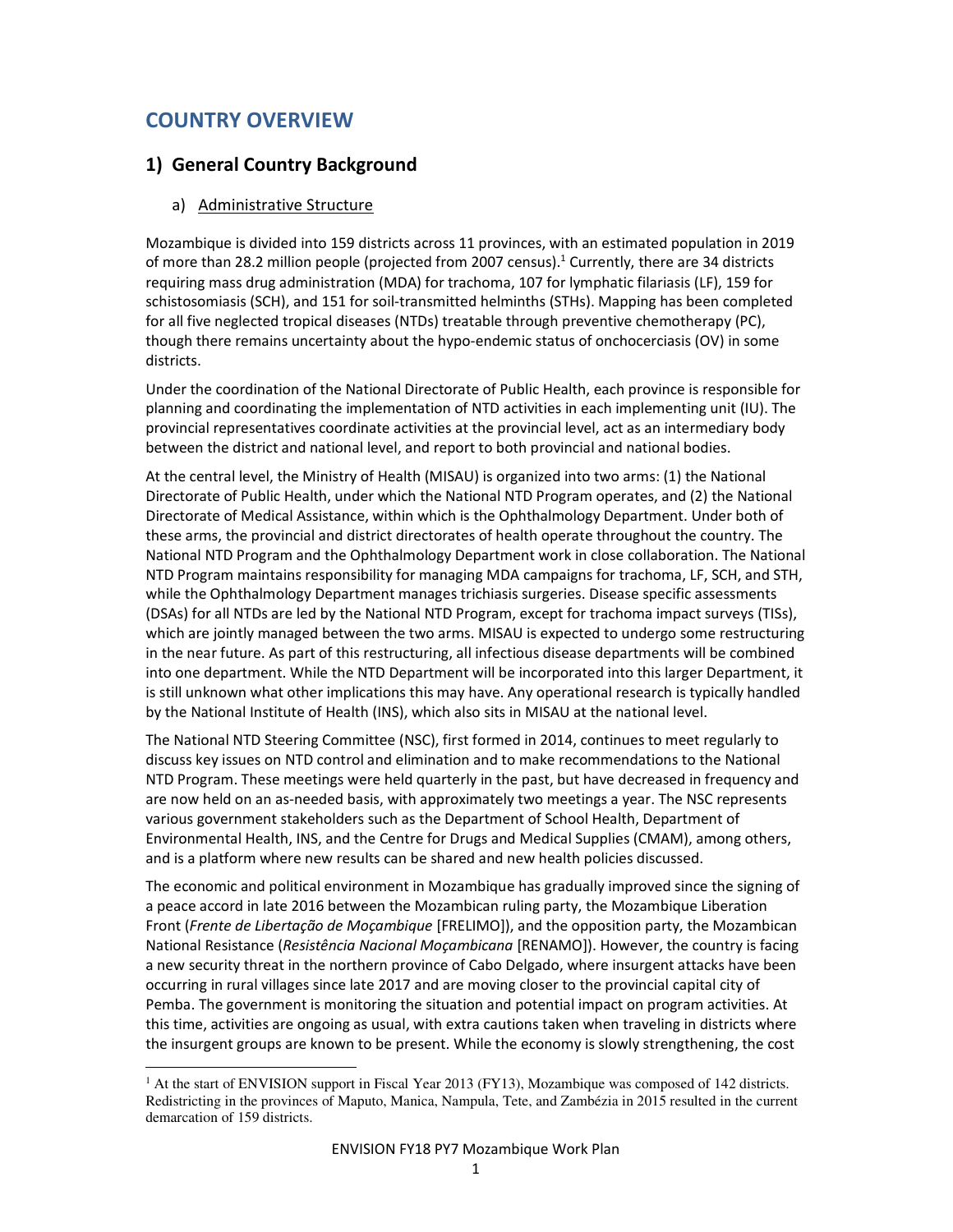# COUNTRY OVERVIEW

l,

## 1) General Country Background

#### a) Administrative Structure

Mozambique is divided into 159 districts across 11 provinces, with an estimated population in 2019 of more than 28.2 million people (projected from 2007 census).<sup>1</sup> Currently, there are 34 districts requiring mass drug administration (MDA) for trachoma, 107 for lymphatic filariasis (LF), 159 for schistosomiasis (SCH), and 151 for soil-transmitted helminths (STHs). Mapping has been completed for all five neglected tropical diseases (NTDs) treatable through preventive chemotherapy (PC), though there remains uncertainty about the hypo-endemic status of onchocerciasis (OV) in some districts.

Under the coordination of the National Directorate of Public Health, each province is responsible for planning and coordinating the implementation of NTD activities in each implementing unit (IU). The provincial representatives coordinate activities at the provincial level, act as an intermediary body between the district and national level, and report to both provincial and national bodies.

At the central level, the Ministry of Health (MISAU) is organized into two arms: (1) the National Directorate of Public Health, under which the National NTD Program operates, and (2) the National Directorate of Medical Assistance, within which is the Ophthalmology Department. Under both of these arms, the provincial and district directorates of health operate throughout the country. The National NTD Program and the Ophthalmology Department work in close collaboration. The National NTD Program maintains responsibility for managing MDA campaigns for trachoma, LF, SCH, and STH, while the Ophthalmology Department manages trichiasis surgeries. Disease specific assessments (DSAs) for all NTDs are led by the National NTD Program, except for trachoma impact surveys (TISs), which are jointly managed between the two arms. MISAU is expected to undergo some restructuring in the near future. As part of this restructuring, all infectious disease departments will be combined into one department. While the NTD Department will be incorporated into this larger Department, it is still unknown what other implications this may have. Any operational research is typically handled by the National Institute of Health (INS), which also sits in MISAU at the national level.

The National NTD Steering Committee (NSC), first formed in 2014, continues to meet regularly to discuss key issues on NTD control and elimination and to make recommendations to the National NTD Program. These meetings were held quarterly in the past, but have decreased in frequency and are now held on an as-needed basis, with approximately two meetings a year. The NSC represents various government stakeholders such as the Department of School Health, Department of Environmental Health, INS, and the Centre for Drugs and Medical Supplies (CMAM), among others, and is a platform where new results can be shared and new health policies discussed.

The economic and political environment in Mozambique has gradually improved since the signing of a peace accord in late 2016 between the Mozambican ruling party, the Mozambique Liberation Front (Frente de Libertação de Moçambique [FRELIMO]), and the opposition party, the Mozambican National Resistance (Resistência Nacional Moçambicana [RENAMO]). However, the country is facing a new security threat in the northern province of Cabo Delgado, where insurgent attacks have been occurring in rural villages since late 2017 and are moving closer to the provincial capital city of Pemba. The government is monitoring the situation and potential impact on program activities. At this time, activities are ongoing as usual, with extra cautions taken when traveling in districts where the insurgent groups are known to be present. While the economy is slowly strengthening, the cost

<sup>&</sup>lt;sup>1</sup> At the start of ENVISION support in Fiscal Year 2013 (FY13), Mozambique was composed of 142 districts. Redistricting in the provinces of Maputo, Manica, Nampula, Tete, and Zambézia in 2015 resulted in the current demarcation of 159 districts.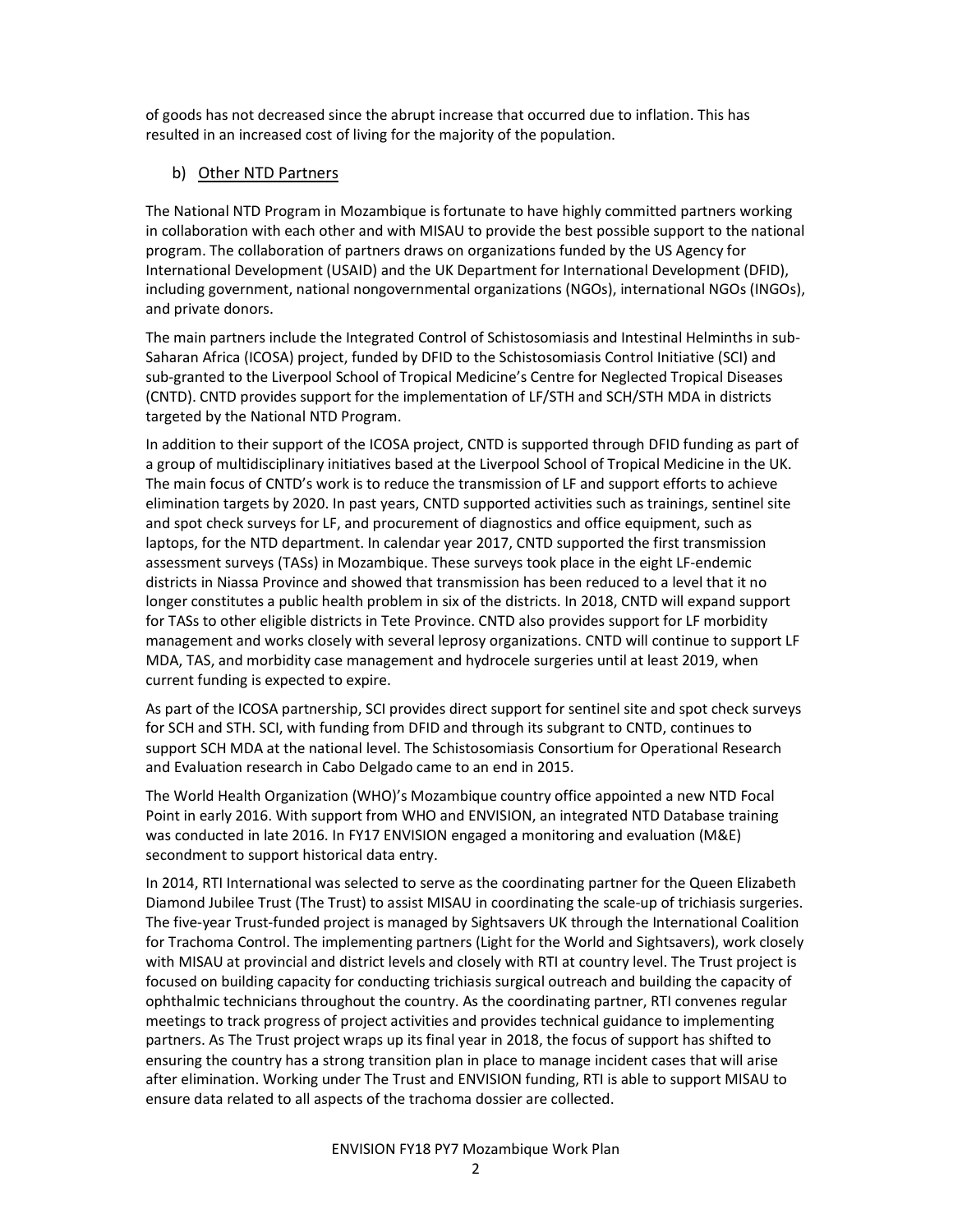of goods has not decreased since the abrupt increase that occurred due to inflation. This has resulted in an increased cost of living for the majority of the population.

#### b) Other NTD Partners

The National NTD Program in Mozambique is fortunate to have highly committed partners working in collaboration with each other and with MISAU to provide the best possible support to the national program. The collaboration of partners draws on organizations funded by the US Agency for International Development (USAID) and the UK Department for International Development (DFID), including government, national nongovernmental organizations (NGOs), international NGOs (INGOs), and private donors.

The main partners include the Integrated Control of Schistosomiasis and Intestinal Helminths in sub-Saharan Africa (ICOSA) project, funded by DFID to the Schistosomiasis Control Initiative (SCI) and sub-granted to the Liverpool School of Tropical Medicine's Centre for Neglected Tropical Diseases (CNTD). CNTD provides support for the implementation of LF/STH and SCH/STH MDA in districts targeted by the National NTD Program.

In addition to their support of the ICOSA project, CNTD is supported through DFID funding as part of a group of multidisciplinary initiatives based at the Liverpool School of Tropical Medicine in the UK. The main focus of CNTD's work is to reduce the transmission of LF and support efforts to achieve elimination targets by 2020. In past years, CNTD supported activities such as trainings, sentinel site and spot check surveys for LF, and procurement of diagnostics and office equipment, such as laptops, for the NTD department. In calendar year 2017, CNTD supported the first transmission assessment surveys (TASs) in Mozambique. These surveys took place in the eight LF-endemic districts in Niassa Province and showed that transmission has been reduced to a level that it no longer constitutes a public health problem in six of the districts. In 2018, CNTD will expand support for TASs to other eligible districts in Tete Province. CNTD also provides support for LF morbidity management and works closely with several leprosy organizations. CNTD will continue to support LF MDA, TAS, and morbidity case management and hydrocele surgeries until at least 2019, when current funding is expected to expire.

As part of the ICOSA partnership, SCI provides direct support for sentinel site and spot check surveys for SCH and STH. SCI, with funding from DFID and through its subgrant to CNTD, continues to support SCH MDA at the national level. The Schistosomiasis Consortium for Operational Research and Evaluation research in Cabo Delgado came to an end in 2015.

The World Health Organization (WHO)'s Mozambique country office appointed a new NTD Focal Point in early 2016. With support from WHO and ENVISION, an integrated NTD Database training was conducted in late 2016. In FY17 ENVISION engaged a monitoring and evaluation (M&E) secondment to support historical data entry.

In 2014, RTI International was selected to serve as the coordinating partner for the Queen Elizabeth Diamond Jubilee Trust (The Trust) to assist MISAU in coordinating the scale-up of trichiasis surgeries. The five-year Trust-funded project is managed by Sightsavers UK through the International Coalition for Trachoma Control. The implementing partners (Light for the World and Sightsavers), work closely with MISAU at provincial and district levels and closely with RTI at country level. The Trust project is focused on building capacity for conducting trichiasis surgical outreach and building the capacity of ophthalmic technicians throughout the country. As the coordinating partner, RTI convenes regular meetings to track progress of project activities and provides technical guidance to implementing partners. As The Trust project wraps up its final year in 2018, the focus of support has shifted to ensuring the country has a strong transition plan in place to manage incident cases that will arise after elimination. Working under The Trust and ENVISION funding, RTI is able to support MISAU to ensure data related to all aspects of the trachoma dossier are collected.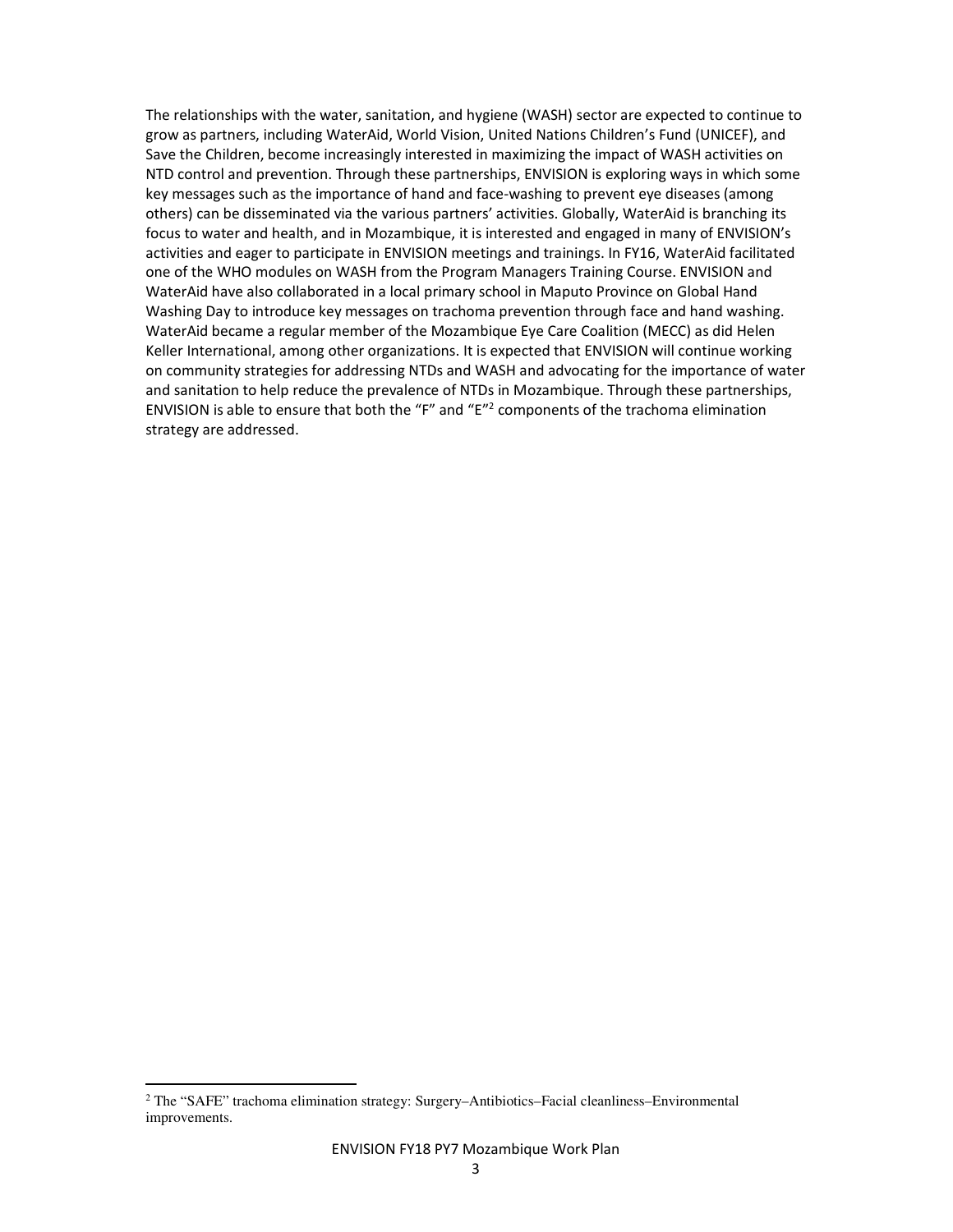The relationships with the water, sanitation, and hygiene (WASH) sector are expected to continue to grow as partners, including WaterAid, World Vision, United Nations Children's Fund (UNICEF), and Save the Children, become increasingly interested in maximizing the impact of WASH activities on NTD control and prevention. Through these partnerships, ENVISION is exploring ways in which some key messages such as the importance of hand and face-washing to prevent eye diseases (among others) can be disseminated via the various partners' activities. Globally, WaterAid is branching its focus to water and health, and in Mozambique, it is interested and engaged in many of ENVISION's activities and eager to participate in ENVISION meetings and trainings. In FY16, WaterAid facilitated one of the WHO modules on WASH from the Program Managers Training Course. ENVISION and WaterAid have also collaborated in a local primary school in Maputo Province on Global Hand Washing Day to introduce key messages on trachoma prevention through face and hand washing. WaterAid became a regular member of the Mozambique Eye Care Coalition (MECC) as did Helen Keller International, among other organizations. It is expected that ENVISION will continue working on community strategies for addressing NTDs and WASH and advocating for the importance of water and sanitation to help reduce the prevalence of NTDs in Mozambique. Through these partnerships, ENVISION is able to ensure that both the "F" and " $E^{\prime\prime 2}$  components of the trachoma elimination strategy are addressed.

l,

<sup>2</sup> The "SAFE" trachoma elimination strategy: Surgery–Antibiotics–Facial cleanliness–Environmental improvements.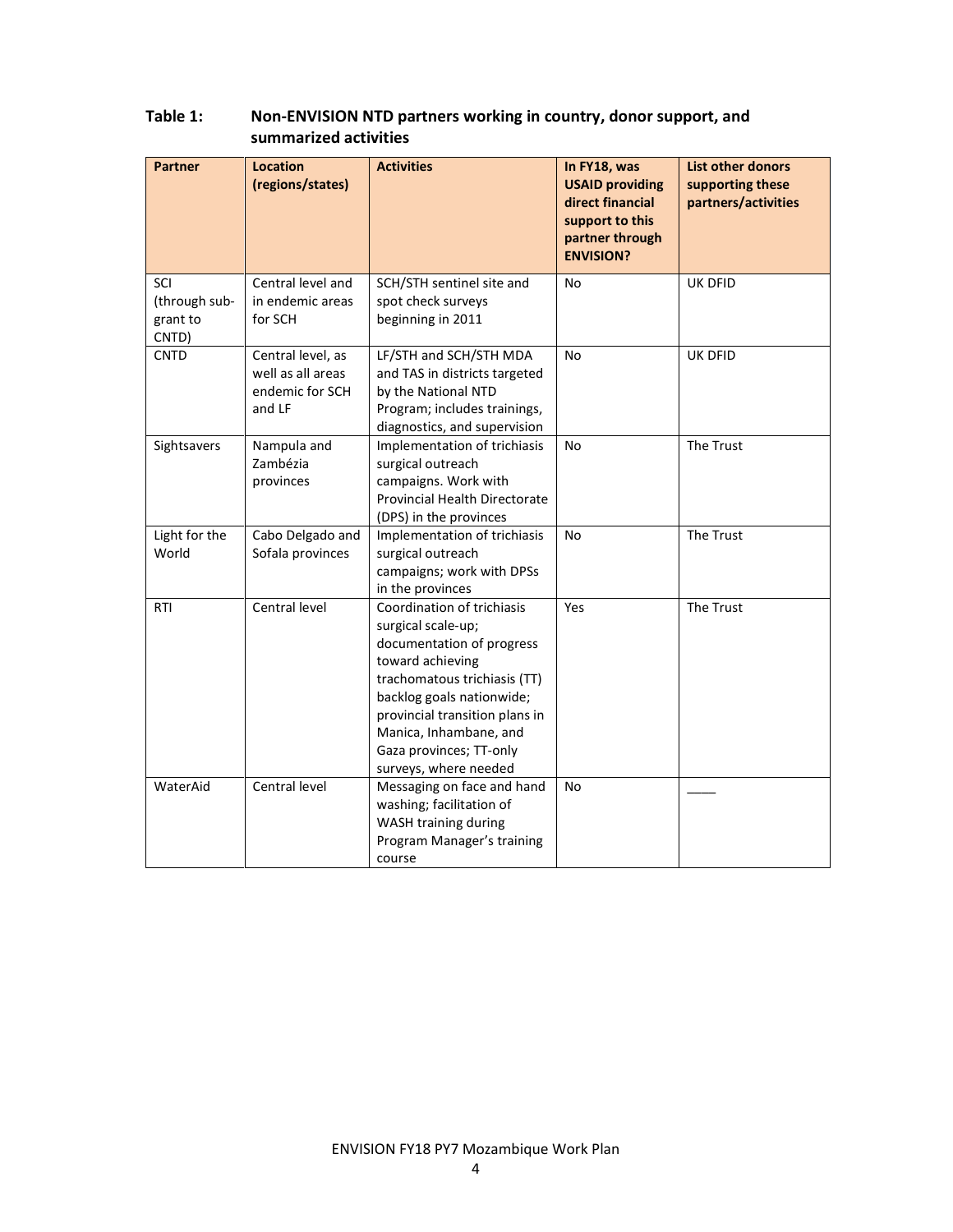| <b>Partner</b>                            | <b>Location</b><br>(regions/states)                                 | <b>Activities</b>                                                                                                                                                                                                                                                              | In FY18, was<br><b>USAID providing</b><br>direct financial<br>support to this<br>partner through<br><b>ENVISION?</b> | <b>List other donors</b><br>supporting these<br>partners/activities |
|-------------------------------------------|---------------------------------------------------------------------|--------------------------------------------------------------------------------------------------------------------------------------------------------------------------------------------------------------------------------------------------------------------------------|----------------------------------------------------------------------------------------------------------------------|---------------------------------------------------------------------|
| SCI<br>(through sub-<br>grant to<br>CNTD) | Central level and<br>in endemic areas<br>for SCH                    | SCH/STH sentinel site and<br>spot check surveys<br>beginning in 2011                                                                                                                                                                                                           | <b>No</b>                                                                                                            | <b>UK DFID</b>                                                      |
| <b>CNTD</b>                               | Central level, as<br>well as all areas<br>endemic for SCH<br>and LF | LF/STH and SCH/STH MDA<br>and TAS in districts targeted<br>by the National NTD<br>Program; includes trainings,<br>diagnostics, and supervision                                                                                                                                 | <b>No</b>                                                                                                            | <b>UK DFID</b>                                                      |
| Sightsavers                               | Nampula and<br>Zambézia<br>provinces                                | Implementation of trichiasis<br>surgical outreach<br>campaigns. Work with<br><b>Provincial Health Directorate</b><br>(DPS) in the provinces                                                                                                                                    | <b>No</b>                                                                                                            | The Trust                                                           |
| Light for the<br>World                    | Cabo Delgado and<br>Sofala provinces                                | Implementation of trichiasis<br>surgical outreach<br>campaigns; work with DPSs<br>in the provinces                                                                                                                                                                             | No                                                                                                                   | The Trust                                                           |
| <b>RTI</b>                                | Central level                                                       | Coordination of trichiasis<br>surgical scale-up;<br>documentation of progress<br>toward achieving<br>trachomatous trichiasis (TT)<br>backlog goals nationwide;<br>provincial transition plans in<br>Manica, Inhambane, and<br>Gaza provinces; TT-only<br>surveys, where needed | Yes                                                                                                                  | The Trust                                                           |
| WaterAid                                  | Central level                                                       | Messaging on face and hand<br>washing; facilitation of<br>WASH training during<br>Program Manager's training<br>course                                                                                                                                                         | No                                                                                                                   |                                                                     |

## Table 1: Non-ENVISION NTD partners working in country, donor support, and summarized activities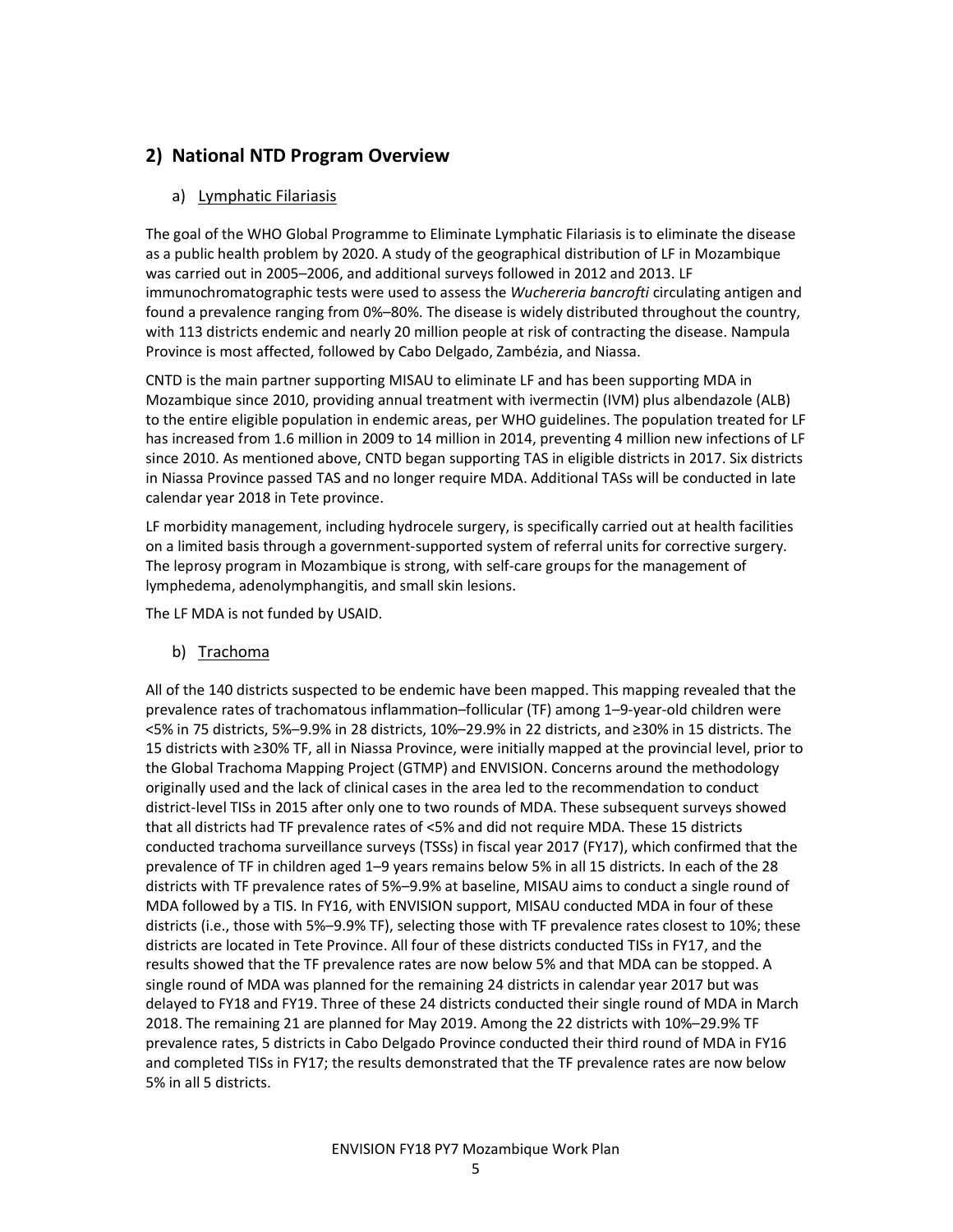## 2) National NTD Program Overview

#### a) Lymphatic Filariasis

The goal of the WHO Global Programme to Eliminate Lymphatic Filariasis is to eliminate the disease as a public health problem by 2020. A study of the geographical distribution of LF in Mozambique was carried out in 2005–2006, and additional surveys followed in 2012 and 2013. LF immunochromatographic tests were used to assess the Wuchereria bancrofti circulating antigen and found a prevalence ranging from 0%–80%. The disease is widely distributed throughout the country, with 113 districts endemic and nearly 20 million people at risk of contracting the disease. Nampula Province is most affected, followed by Cabo Delgado, Zambézia, and Niassa.

CNTD is the main partner supporting MISAU to eliminate LF and has been supporting MDA in Mozambique since 2010, providing annual treatment with ivermectin (IVM) plus albendazole (ALB) to the entire eligible population in endemic areas, per WHO guidelines. The population treated for LF has increased from 1.6 million in 2009 to 14 million in 2014, preventing 4 million new infections of LF since 2010. As mentioned above, CNTD began supporting TAS in eligible districts in 2017. Six districts in Niassa Province passed TAS and no longer require MDA. Additional TASs will be conducted in late calendar year 2018 in Tete province.

LF morbidity management, including hydrocele surgery, is specifically carried out at health facilities on a limited basis through a government-supported system of referral units for corrective surgery. The leprosy program in Mozambique is strong, with self-care groups for the management of lymphedema, adenolymphangitis, and small skin lesions.

The LF MDA is not funded by USAID.

b) Trachoma

All of the 140 districts suspected to be endemic have been mapped. This mapping revealed that the prevalence rates of trachomatous inflammation–follicular (TF) among 1–9-year-old children were <5% in 75 districts, 5%–9.9% in 28 districts, 10%–29.9% in 22 districts, and ≥30% in 15 districts. The 15 districts with ≥30% TF, all in Niassa Province, were initially mapped at the provincial level, prior to the Global Trachoma Mapping Project (GTMP) and ENVISION. Concerns around the methodology originally used and the lack of clinical cases in the area led to the recommendation to conduct district-level TISs in 2015 after only one to two rounds of MDA. These subsequent surveys showed that all districts had TF prevalence rates of <5% and did not require MDA. These 15 districts conducted trachoma surveillance surveys (TSSs) in fiscal year 2017 (FY17), which confirmed that the prevalence of TF in children aged 1–9 years remains below 5% in all 15 districts. In each of the 28 districts with TF prevalence rates of 5%–9.9% at baseline, MISAU aims to conduct a single round of MDA followed by a TIS. In FY16, with ENVISION support, MISAU conducted MDA in four of these districts (i.e., those with 5%–9.9% TF), selecting those with TF prevalence rates closest to 10%; these districts are located in Tete Province. All four of these districts conducted TISs in FY17, and the results showed that the TF prevalence rates are now below 5% and that MDA can be stopped. A single round of MDA was planned for the remaining 24 districts in calendar year 2017 but was delayed to FY18 and FY19. Three of these 24 districts conducted their single round of MDA in March 2018. The remaining 21 are planned for May 2019. Among the 22 districts with 10%–29.9% TF prevalence rates, 5 districts in Cabo Delgado Province conducted their third round of MDA in FY16 and completed TISs in FY17; the results demonstrated that the TF prevalence rates are now below 5% in all 5 districts.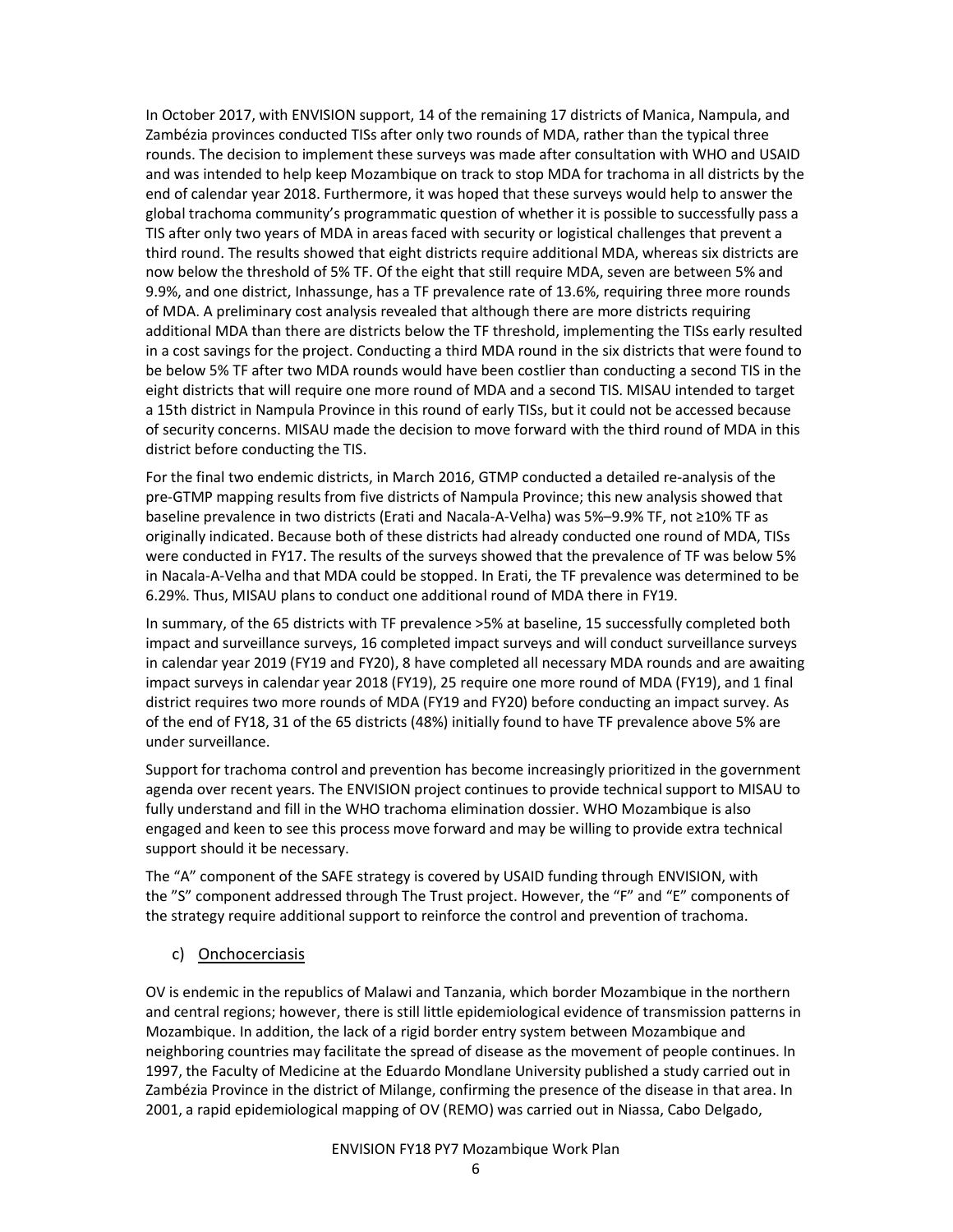In October 2017, with ENVISION support, 14 of the remaining 17 districts of Manica, Nampula, and Zambézia provinces conducted TISs after only two rounds of MDA, rather than the typical three rounds. The decision to implement these surveys was made after consultation with WHO and USAID and was intended to help keep Mozambique on track to stop MDA for trachoma in all districts by the end of calendar year 2018. Furthermore, it was hoped that these surveys would help to answer the global trachoma community's programmatic question of whether it is possible to successfully pass a TIS after only two years of MDA in areas faced with security or logistical challenges that prevent a third round. The results showed that eight districts require additional MDA, whereas six districts are now below the threshold of 5% TF. Of the eight that still require MDA, seven are between 5% and 9.9%, and one district, Inhassunge, has a TF prevalence rate of 13.6%, requiring three more rounds of MDA. A preliminary cost analysis revealed that although there are more districts requiring additional MDA than there are districts below the TF threshold, implementing the TISs early resulted in a cost savings for the project. Conducting a third MDA round in the six districts that were found to be below 5% TF after two MDA rounds would have been costlier than conducting a second TIS in the eight districts that will require one more round of MDA and a second TIS. MISAU intended to target a 15th district in Nampula Province in this round of early TISs, but it could not be accessed because of security concerns. MISAU made the decision to move forward with the third round of MDA in this district before conducting the TIS.

For the final two endemic districts, in March 2016, GTMP conducted a detailed re-analysis of the pre-GTMP mapping results from five districts of Nampula Province; this new analysis showed that baseline prevalence in two districts (Erati and Nacala-A-Velha) was 5%–9.9% TF, not ≥10% TF as originally indicated. Because both of these districts had already conducted one round of MDA, TISs were conducted in FY17. The results of the surveys showed that the prevalence of TF was below 5% in Nacala-A-Velha and that MDA could be stopped. In Erati, the TF prevalence was determined to be 6.29%. Thus, MISAU plans to conduct one additional round of MDA there in FY19.

In summary, of the 65 districts with TF prevalence >5% at baseline, 15 successfully completed both impact and surveillance surveys, 16 completed impact surveys and will conduct surveillance surveys in calendar year 2019 (FY19 and FY20), 8 have completed all necessary MDA rounds and are awaiting impact surveys in calendar year 2018 (FY19), 25 require one more round of MDA (FY19), and 1 final district requires two more rounds of MDA (FY19 and FY20) before conducting an impact survey. As of the end of FY18, 31 of the 65 districts (48%) initially found to have TF prevalence above 5% are under surveillance.

Support for trachoma control and prevention has become increasingly prioritized in the government agenda over recent years. The ENVISION project continues to provide technical support to MISAU to fully understand and fill in the WHO trachoma elimination dossier. WHO Mozambique is also engaged and keen to see this process move forward and may be willing to provide extra technical support should it be necessary.

The "A" component of the SAFE strategy is covered by USAID funding through ENVISION, with the "S" component addressed through The Trust project. However, the "F" and "E" components of the strategy require additional support to reinforce the control and prevention of trachoma.

c) Onchocerciasis

OV is endemic in the republics of Malawi and Tanzania, which border Mozambique in the northern and central regions; however, there is still little epidemiological evidence of transmission patterns in Mozambique. In addition, the lack of a rigid border entry system between Mozambique and neighboring countries may facilitate the spread of disease as the movement of people continues. In 1997, the Faculty of Medicine at the Eduardo Mondlane University published a study carried out in Zambézia Province in the district of Milange, confirming the presence of the disease in that area. In 2001, a rapid epidemiological mapping of OV (REMO) was carried out in Niassa, Cabo Delgado,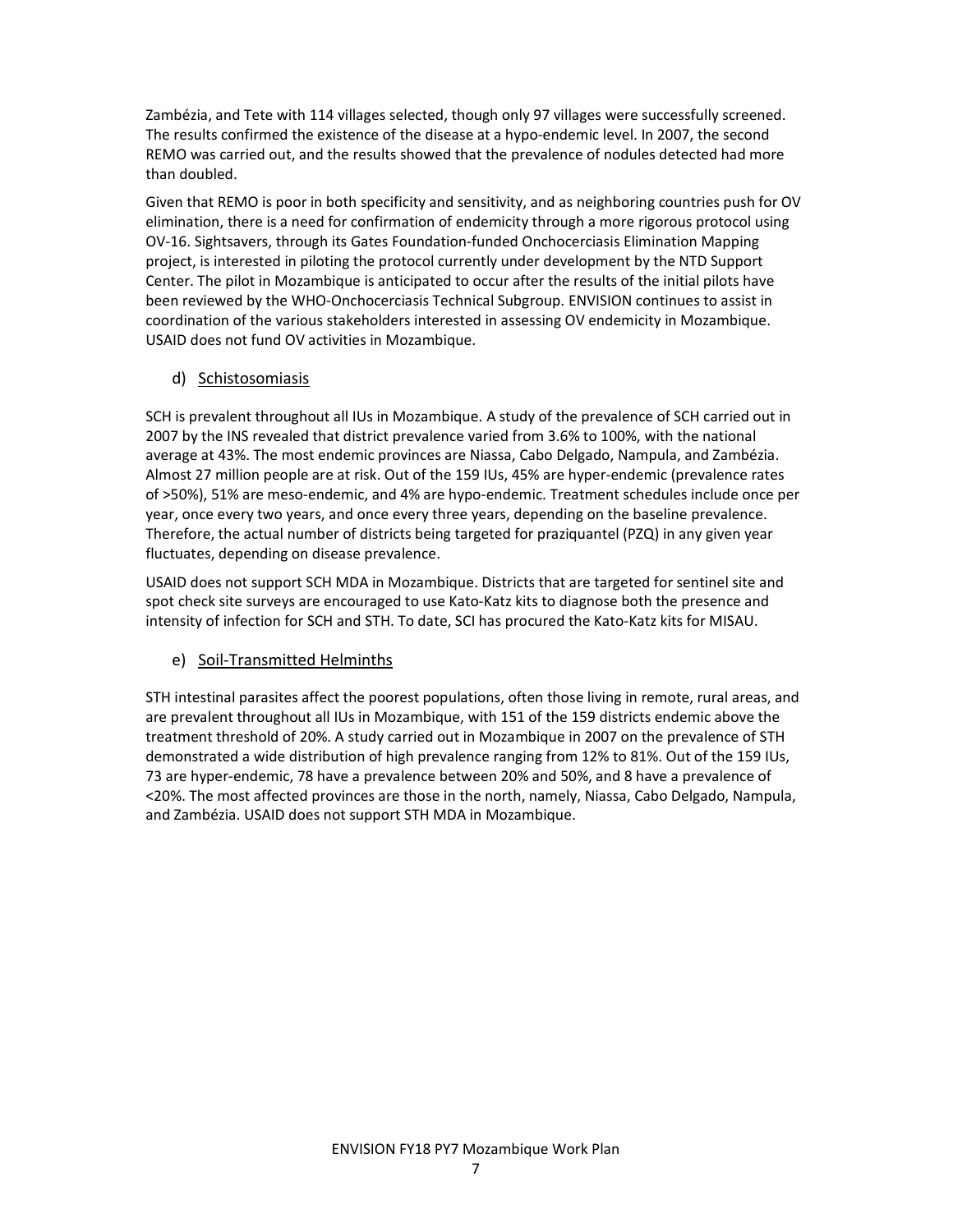Zambézia, and Tete with 114 villages selected, though only 97 villages were successfully screened. The results confirmed the existence of the disease at a hypo-endemic level. In 2007, the second REMO was carried out, and the results showed that the prevalence of nodules detected had more than doubled.

Given that REMO is poor in both specificity and sensitivity, and as neighboring countries push for OV elimination, there is a need for confirmation of endemicity through a more rigorous protocol using OV-16. Sightsavers, through its Gates Foundation-funded Onchocerciasis Elimination Mapping project, is interested in piloting the protocol currently under development by the NTD Support Center. The pilot in Mozambique is anticipated to occur after the results of the initial pilots have been reviewed by the WHO-Onchocerciasis Technical Subgroup. ENVISION continues to assist in coordination of the various stakeholders interested in assessing OV endemicity in Mozambique. USAID does not fund OV activities in Mozambique.

#### d) Schistosomiasis

SCH is prevalent throughout all IUs in Mozambique. A study of the prevalence of SCH carried out in 2007 by the INS revealed that district prevalence varied from 3.6% to 100%, with the national average at 43%. The most endemic provinces are Niassa, Cabo Delgado, Nampula, and Zambézia. Almost 27 million people are at risk. Out of the 159 IUs, 45% are hyper-endemic (prevalence rates of >50%), 51% are meso-endemic, and 4% are hypo-endemic. Treatment schedules include once per year, once every two years, and once every three years, depending on the baseline prevalence. Therefore, the actual number of districts being targeted for praziquantel (PZQ) in any given year fluctuates, depending on disease prevalence.

USAID does not support SCH MDA in Mozambique. Districts that are targeted for sentinel site and spot check site surveys are encouraged to use Kato-Katz kits to diagnose both the presence and intensity of infection for SCH and STH. To date, SCI has procured the Kato-Katz kits for MISAU.

#### e) Soil-Transmitted Helminths

STH intestinal parasites affect the poorest populations, often those living in remote, rural areas, and are prevalent throughout all IUs in Mozambique, with 151 of the 159 districts endemic above the treatment threshold of 20%. A study carried out in Mozambique in 2007 on the prevalence of STH demonstrated a wide distribution of high prevalence ranging from 12% to 81%. Out of the 159 IUs, 73 are hyper-endemic, 78 have a prevalence between 20% and 50%, and 8 have a prevalence of <20%. The most affected provinces are those in the north, namely, Niassa, Cabo Delgado, Nampula, and Zambézia. USAID does not support STH MDA in Mozambique.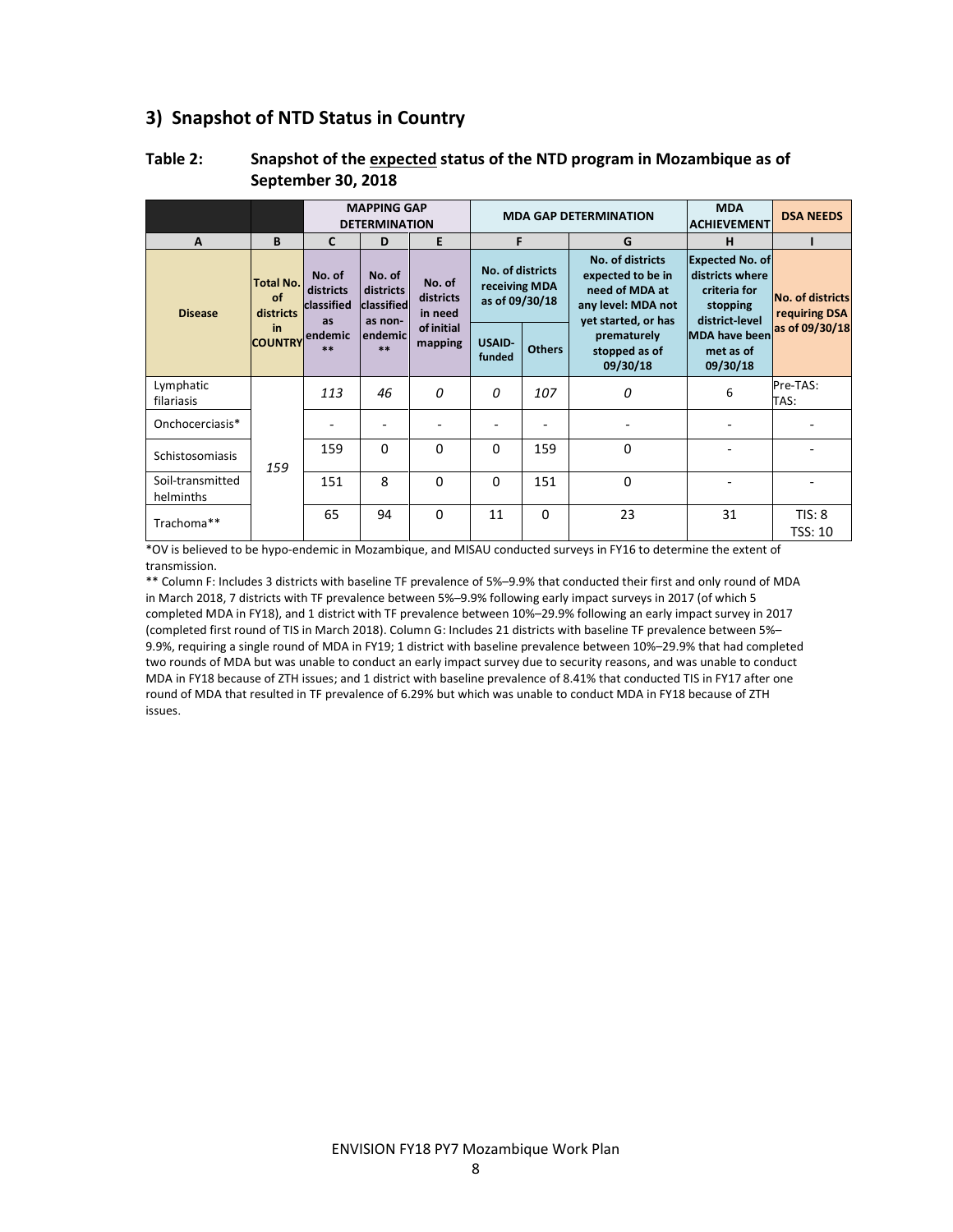## 3) Snapshot of NTD Status in Country

| $\overline{A}$                | B                                   | $\mathbf{C}$                            | <b>MAPPING GAP</b><br><b>DETERMINATION</b><br>D | E                              |                                                     | <b>MDA GAP DETERMINATION</b><br><b>ACHIEVEMENT</b><br>F<br>G |                                          |                                               | <b>DSA NEEDS</b>         |  |  |  |  |  |  |  |  |  |  |  |  |  |  |  |  |  |  |  |  |  |                                                                                                      |                                                                                         |                                   |
|-------------------------------|-------------------------------------|-----------------------------------------|-------------------------------------------------|--------------------------------|-----------------------------------------------------|--------------------------------------------------------------|------------------------------------------|-----------------------------------------------|--------------------------|--|--|--|--|--|--|--|--|--|--|--|--|--|--|--|--|--|--|--|--|--|------------------------------------------------------------------------------------------------------|-----------------------------------------------------------------------------------------|-----------------------------------|
| <b>Disease</b>                | <b>Total No.</b><br>of<br>districts | No. of<br>districts<br>classified<br>as | No. of<br>districts<br>classified<br>as non-    | No. of<br>districts<br>in need | No. of districts<br>receiving MDA<br>as of 09/30/18 |                                                              |                                          |                                               |                          |  |  |  |  |  |  |  |  |  |  |  |  |  |  |  |  |  |  |  |  |  | No. of districts<br>expected to be in<br>need of MDA at<br>any level: MDA not<br>yet started, or has | <b>Expected No. of</b><br>districts where<br>criteria for<br>stopping<br>district-level | No. of districts<br>requiring DSA |
|                               | <b>in</b><br><b>COUNTRY</b>         | endemic<br>$**$                         | lendemicl<br>$***$                              | of initial<br>mapping          | USAID-<br>funded                                    | <b>Others</b>                                                | prematurely<br>stopped as of<br>09/30/18 | <b>MDA</b> have been<br>met as of<br>09/30/18 | as of 09/30/18           |  |  |  |  |  |  |  |  |  |  |  |  |  |  |  |  |  |  |  |  |  |                                                                                                      |                                                                                         |                                   |
| Lymphatic<br>filariasis       |                                     | 113                                     | 46                                              | 0                              | $\Omega$                                            | 107                                                          | 0                                        | 6                                             | Pre-TAS:<br>TAS:         |  |  |  |  |  |  |  |  |  |  |  |  |  |  |  |  |  |  |  |  |  |                                                                                                      |                                                                                         |                                   |
| Onchocerciasis*               |                                     |                                         | ٠                                               |                                |                                                     |                                                              |                                          |                                               |                          |  |  |  |  |  |  |  |  |  |  |  |  |  |  |  |  |  |  |  |  |  |                                                                                                      |                                                                                         |                                   |
| Schistosomiasis               | 159                                 | 159                                     | $\Omega$                                        | $\Omega$                       | $\Omega$                                            | 159                                                          | $\Omega$                                 |                                               |                          |  |  |  |  |  |  |  |  |  |  |  |  |  |  |  |  |  |  |  |  |  |                                                                                                      |                                                                                         |                                   |
| Soil-transmitted<br>helminths |                                     | 151                                     | 8                                               | $\Omega$                       | $\Omega$                                            | 151                                                          | $\Omega$                                 |                                               |                          |  |  |  |  |  |  |  |  |  |  |  |  |  |  |  |  |  |  |  |  |  |                                                                                                      |                                                                                         |                                   |
| Trachoma**                    |                                     | 65                                      | 94                                              | $\Omega$                       | 11                                                  | $\Omega$                                                     | 23                                       | 31                                            | TIS: 8<br><b>TSS: 10</b> |  |  |  |  |  |  |  |  |  |  |  |  |  |  |  |  |  |  |  |  |  |                                                                                                      |                                                                                         |                                   |

#### Table 2: Snapshot of the expected status of the NTD program in Mozambique as of September 30, 2018

\*OV is believed to be hypo-endemic in Mozambique, and MISAU conducted surveys in FY16 to determine the extent of transmission.

\*\* Column F: Includes 3 districts with baseline TF prevalence of 5%–9.9% that conducted their first and only round of MDA in March 2018, 7 districts with TF prevalence between 5%–9.9% following early impact surveys in 2017 (of which 5 completed MDA in FY18), and 1 district with TF prevalence between 10%–29.9% following an early impact survey in 2017 (completed first round of TIS in March 2018). Column G: Includes 21 districts with baseline TF prevalence between 5%– 9.9%, requiring a single round of MDA in FY19; 1 district with baseline prevalence between 10%–29.9% that had completed two rounds of MDA but was unable to conduct an early impact survey due to security reasons, and was unable to conduct MDA in FY18 because of ZTH issues; and 1 district with baseline prevalence of 8.41% that conducted TIS in FY17 after one round of MDA that resulted in TF prevalence of 6.29% but which was unable to conduct MDA in FY18 because of ZTH issues.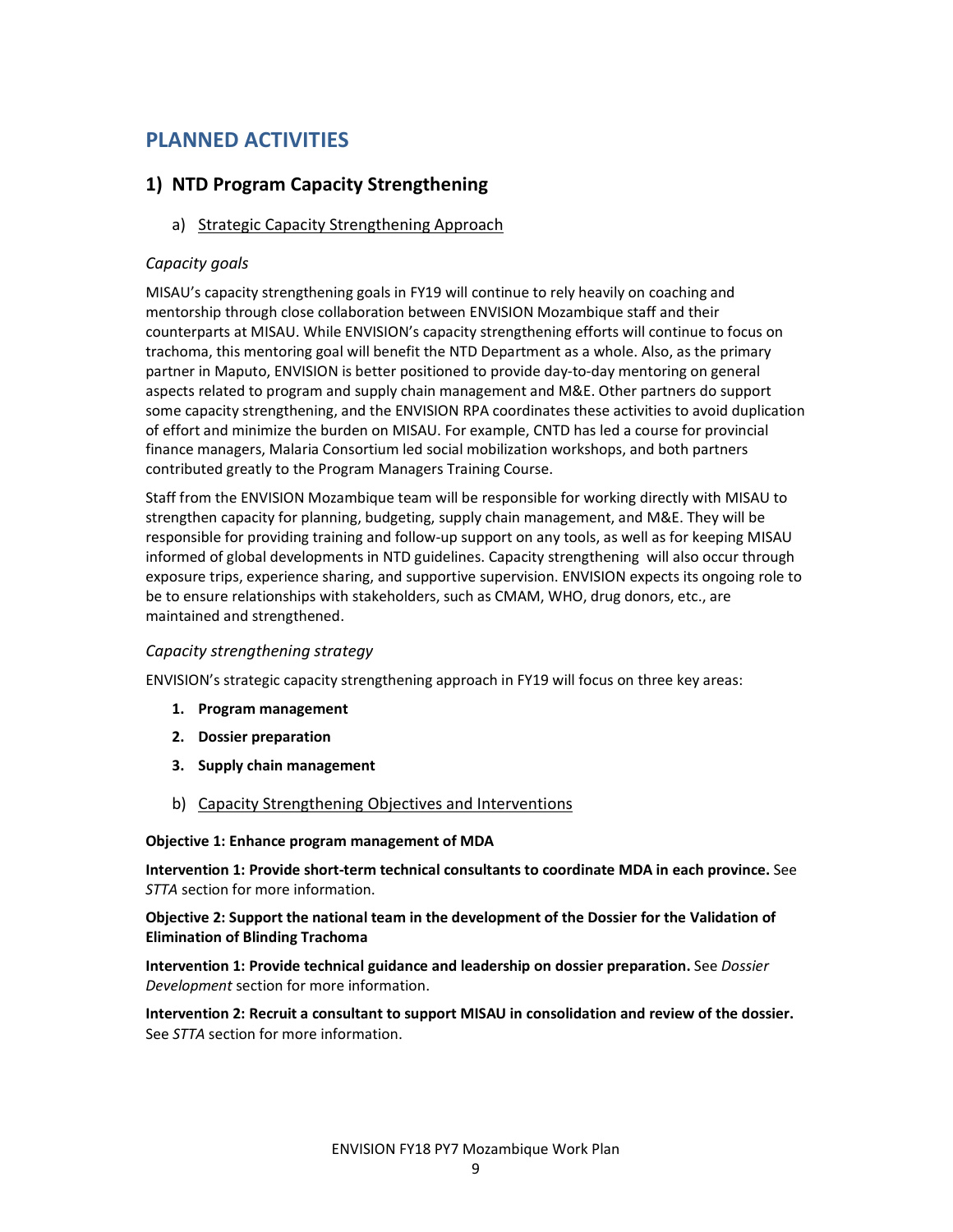# PLANNED ACTIVITIES

## 1) NTD Program Capacity Strengthening

a) Strategic Capacity Strengthening Approach

#### Capacity goals

MISAU's capacity strengthening goals in FY19 will continue to rely heavily on coaching and mentorship through close collaboration between ENVISION Mozambique staff and their counterparts at MISAU. While ENVISION's capacity strengthening efforts will continue to focus on trachoma, this mentoring goal will benefit the NTD Department as a whole. Also, as the primary partner in Maputo, ENVISION is better positioned to provide day-to-day mentoring on general aspects related to program and supply chain management and M&E. Other partners do support some capacity strengthening, and the ENVISION RPA coordinates these activities to avoid duplication of effort and minimize the burden on MISAU. For example, CNTD has led a course for provincial finance managers, Malaria Consortium led social mobilization workshops, and both partners contributed greatly to the Program Managers Training Course.

Staff from the ENVISION Mozambique team will be responsible for working directly with MISAU to strengthen capacity for planning, budgeting, supply chain management, and M&E. They will be responsible for providing training and follow-up support on any tools, as well as for keeping MISAU informed of global developments in NTD guidelines. Capacity strengthening will also occur through exposure trips, experience sharing, and supportive supervision. ENVISION expects its ongoing role to be to ensure relationships with stakeholders, such as CMAM, WHO, drug donors, etc., are maintained and strengthened.

#### Capacity strengthening strategy

ENVISION's strategic capacity strengthening approach in FY19 will focus on three key areas:

- 1. Program management
- 2. Dossier preparation
- 3. Supply chain management
- b) Capacity Strengthening Objectives and Interventions

#### Objective 1: Enhance program management of MDA

Intervention 1: Provide short-term technical consultants to coordinate MDA in each province. See STTA section for more information.

#### Objective 2: Support the national team in the development of the Dossier for the Validation of Elimination of Blinding Trachoma

Intervention 1: Provide technical guidance and leadership on dossier preparation. See Dossier Development section for more information.

Intervention 2: Recruit a consultant to support MISAU in consolidation and review of the dossier. See STTA section for more information.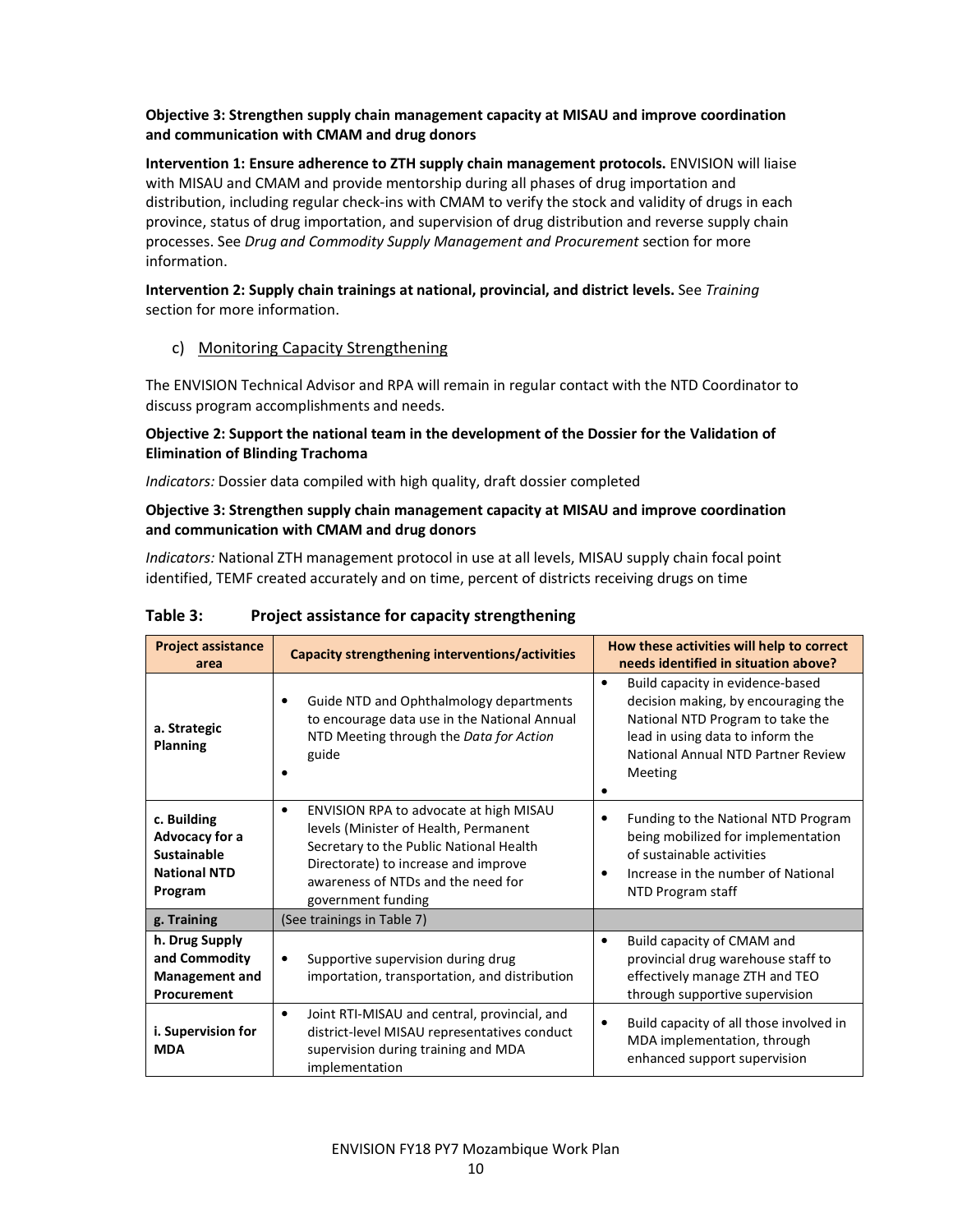#### Objective 3: Strengthen supply chain management capacity at MISAU and improve coordination and communication with CMAM and drug donors

Intervention 1: Ensure adherence to ZTH supply chain management protocols. ENVISION will liaise with MISAU and CMAM and provide mentorship during all phases of drug importation and distribution, including regular check-ins with CMAM to verify the stock and validity of drugs in each province, status of drug importation, and supervision of drug distribution and reverse supply chain processes. See Drug and Commodity Supply Management and Procurement section for more information.

#### Intervention 2: Supply chain trainings at national, provincial, and district levels. See Training section for more information.

#### c) Monitoring Capacity Strengthening

The ENVISION Technical Advisor and RPA will remain in regular contact with the NTD Coordinator to discuss program accomplishments and needs.

#### Objective 2: Support the national team in the development of the Dossier for the Validation of Elimination of Blinding Trachoma

Indicators: Dossier data compiled with high quality, draft dossier completed

#### Objective 3: Strengthen supply chain management capacity at MISAU and improve coordination and communication with CMAM and drug donors

Indicators: National ZTH management protocol in use at all levels, MISAU supply chain focal point identified, TEMF created accurately and on time, percent of districts receiving drugs on time

| <b>Project assistance</b><br>area                                                     | <b>Capacity strengthening interventions/activities</b>                                                                                                                                                                                      | How these activities will help to correct<br>needs identified in situation above?                                                                                                                             |
|---------------------------------------------------------------------------------------|---------------------------------------------------------------------------------------------------------------------------------------------------------------------------------------------------------------------------------------------|---------------------------------------------------------------------------------------------------------------------------------------------------------------------------------------------------------------|
| a. Strategic<br><b>Planning</b>                                                       | Guide NTD and Ophthalmology departments<br>٠<br>to encourage data use in the National Annual<br>NTD Meeting through the Data for Action<br>guide                                                                                            | Build capacity in evidence-based<br>$\bullet$<br>decision making, by encouraging the<br>National NTD Program to take the<br>lead in using data to inform the<br>National Annual NTD Partner Review<br>Meeting |
| c. Building<br>Advocacy for a<br><b>Sustainable</b><br><b>National NTD</b><br>Program | ENVISION RPA to advocate at high MISAU<br>$\bullet$<br>levels (Minister of Health, Permanent<br>Secretary to the Public National Health<br>Directorate) to increase and improve<br>awareness of NTDs and the need for<br>government funding | Funding to the National NTD Program<br>٠<br>being mobilized for implementation<br>of sustainable activities<br>Increase in the number of National<br>$\bullet$<br>NTD Program staff                           |
| g. Training                                                                           | (See trainings in Table 7)                                                                                                                                                                                                                  |                                                                                                                                                                                                               |
| h. Drug Supply<br>and Commodity<br><b>Management and</b><br>Procurement               | Supportive supervision during drug<br>٠<br>importation, transportation, and distribution                                                                                                                                                    | Build capacity of CMAM and<br>$\bullet$<br>provincial drug warehouse staff to<br>effectively manage ZTH and TEO<br>through supportive supervision                                                             |
| i. Supervision for<br><b>MDA</b>                                                      | Joint RTI-MISAU and central, provincial, and<br>$\bullet$<br>district-level MISAU representatives conduct<br>supervision during training and MDA<br>implementation                                                                          | Build capacity of all those involved in<br>$\bullet$<br>MDA implementation, through<br>enhanced support supervision                                                                                           |

#### Table 3: Project assistance for capacity strengthening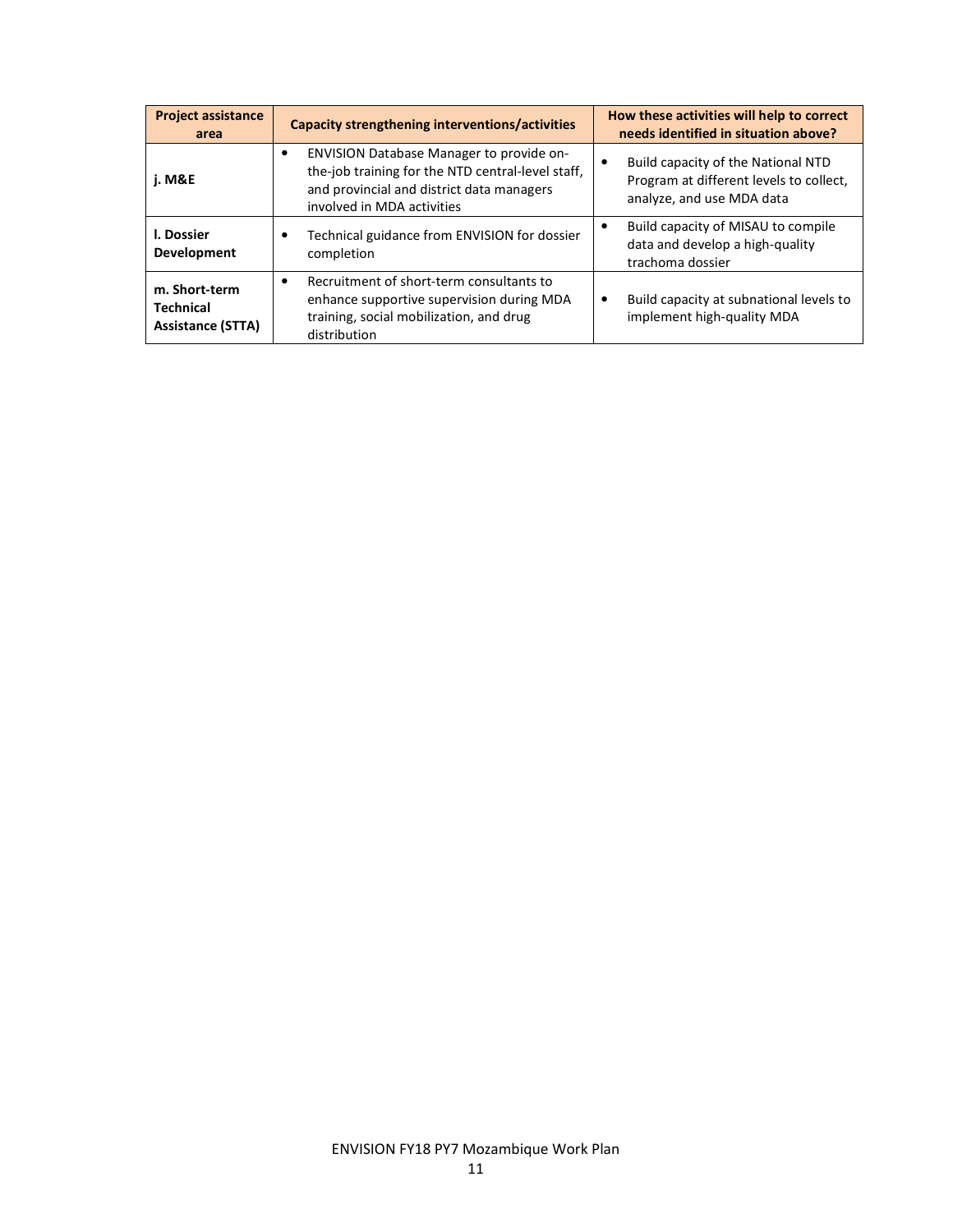| <b>Project assistance</b><br>area                             | <b>Capacity strengthening interventions/activities</b>                                                                                                                                | How these activities will help to correct<br>needs identified in situation above?                          |
|---------------------------------------------------------------|---------------------------------------------------------------------------------------------------------------------------------------------------------------------------------------|------------------------------------------------------------------------------------------------------------|
| <b>i. M&amp;E</b>                                             | ENVISION Database Manager to provide on-<br>$\bullet$<br>the-job training for the NTD central-level staff,<br>and provincial and district data managers<br>involved in MDA activities | Build capacity of the National NTD<br>Program at different levels to collect,<br>analyze, and use MDA data |
| I. Dossier<br>Development                                     | Technical guidance from ENVISION for dossier<br>٠<br>completion                                                                                                                       | Build capacity of MISAU to compile<br>data and develop a high-quality<br>trachoma dossier                  |
| m. Short-term<br><b>Technical</b><br><b>Assistance (STTA)</b> | Recruitment of short-term consultants to<br>$\bullet$<br>enhance supportive supervision during MDA<br>training, social mobilization, and drug<br>distribution                         | Build capacity at subnational levels to<br>$\bullet$<br>implement high-quality MDA                         |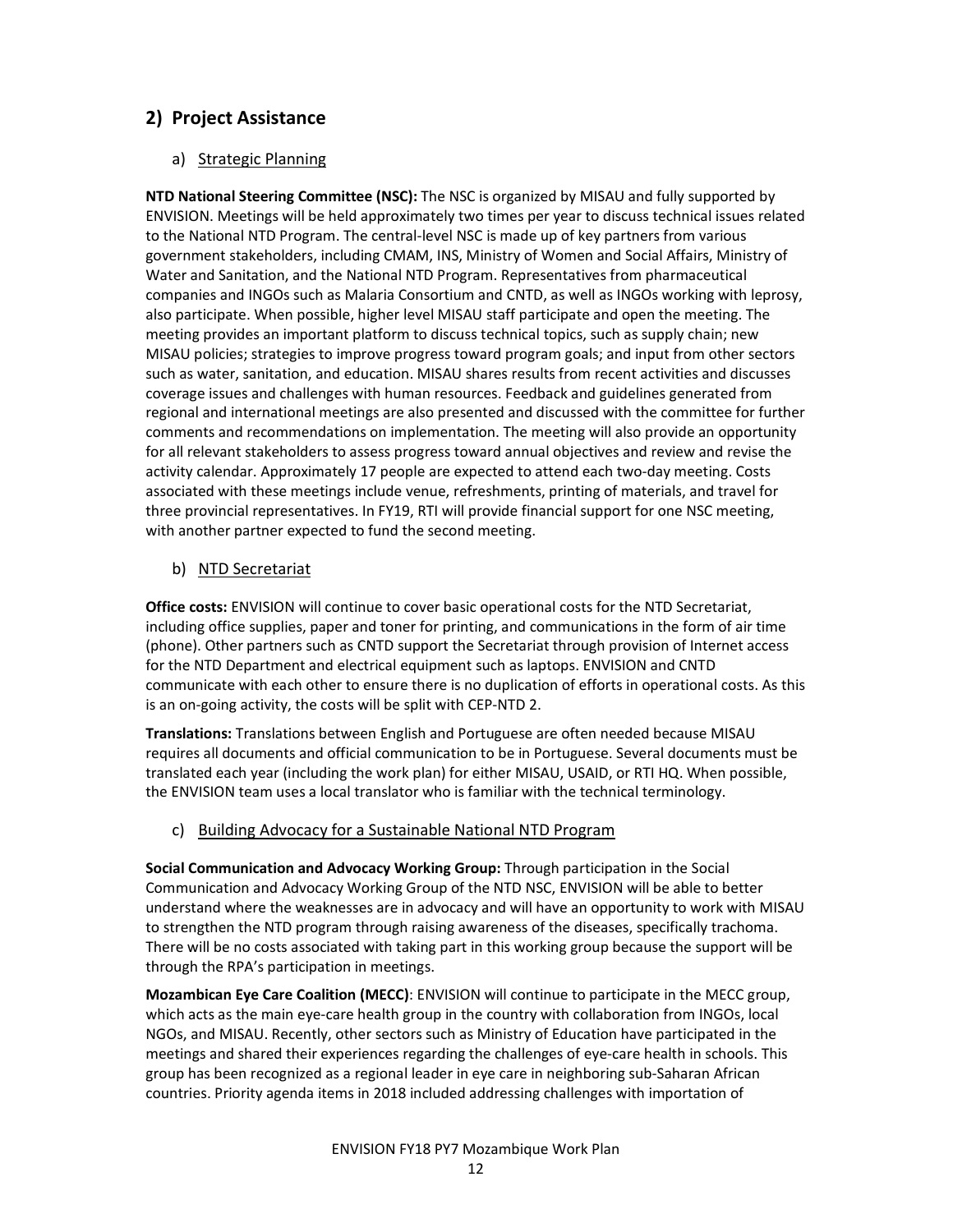## 2) Project Assistance

#### a) Strategic Planning

NTD National Steering Committee (NSC): The NSC is organized by MISAU and fully supported by ENVISION. Meetings will be held approximately two times per year to discuss technical issues related to the National NTD Program. The central-level NSC is made up of key partners from various government stakeholders, including CMAM, INS, Ministry of Women and Social Affairs, Ministry of Water and Sanitation, and the National NTD Program. Representatives from pharmaceutical companies and INGOs such as Malaria Consortium and CNTD, as well as INGOs working with leprosy, also participate. When possible, higher level MISAU staff participate and open the meeting. The meeting provides an important platform to discuss technical topics, such as supply chain; new MISAU policies; strategies to improve progress toward program goals; and input from other sectors such as water, sanitation, and education. MISAU shares results from recent activities and discusses coverage issues and challenges with human resources. Feedback and guidelines generated from regional and international meetings are also presented and discussed with the committee for further comments and recommendations on implementation. The meeting will also provide an opportunity for all relevant stakeholders to assess progress toward annual objectives and review and revise the activity calendar. Approximately 17 people are expected to attend each two-day meeting. Costs associated with these meetings include venue, refreshments, printing of materials, and travel for three provincial representatives. In FY19, RTI will provide financial support for one NSC meeting, with another partner expected to fund the second meeting.

#### b) NTD Secretariat

Office costs: ENVISION will continue to cover basic operational costs for the NTD Secretariat, including office supplies, paper and toner for printing, and communications in the form of air time (phone). Other partners such as CNTD support the Secretariat through provision of Internet access for the NTD Department and electrical equipment such as laptops. ENVISION and CNTD communicate with each other to ensure there is no duplication of efforts in operational costs. As this is an on-going activity, the costs will be split with CEP-NTD 2.

Translations: Translations between English and Portuguese are often needed because MISAU requires all documents and official communication to be in Portuguese. Several documents must be translated each year (including the work plan) for either MISAU, USAID, or RTI HQ. When possible, the ENVISION team uses a local translator who is familiar with the technical terminology.

#### c) Building Advocacy for a Sustainable National NTD Program

Social Communication and Advocacy Working Group: Through participation in the Social Communication and Advocacy Working Group of the NTD NSC, ENVISION will be able to better understand where the weaknesses are in advocacy and will have an opportunity to work with MISAU to strengthen the NTD program through raising awareness of the diseases, specifically trachoma. There will be no costs associated with taking part in this working group because the support will be through the RPA's participation in meetings.

Mozambican Eye Care Coalition (MECC): ENVISION will continue to participate in the MECC group, which acts as the main eye-care health group in the country with collaboration from INGOs, local NGOs, and MISAU. Recently, other sectors such as Ministry of Education have participated in the meetings and shared their experiences regarding the challenges of eye-care health in schools. This group has been recognized as a regional leader in eye care in neighboring sub-Saharan African countries. Priority agenda items in 2018 included addressing challenges with importation of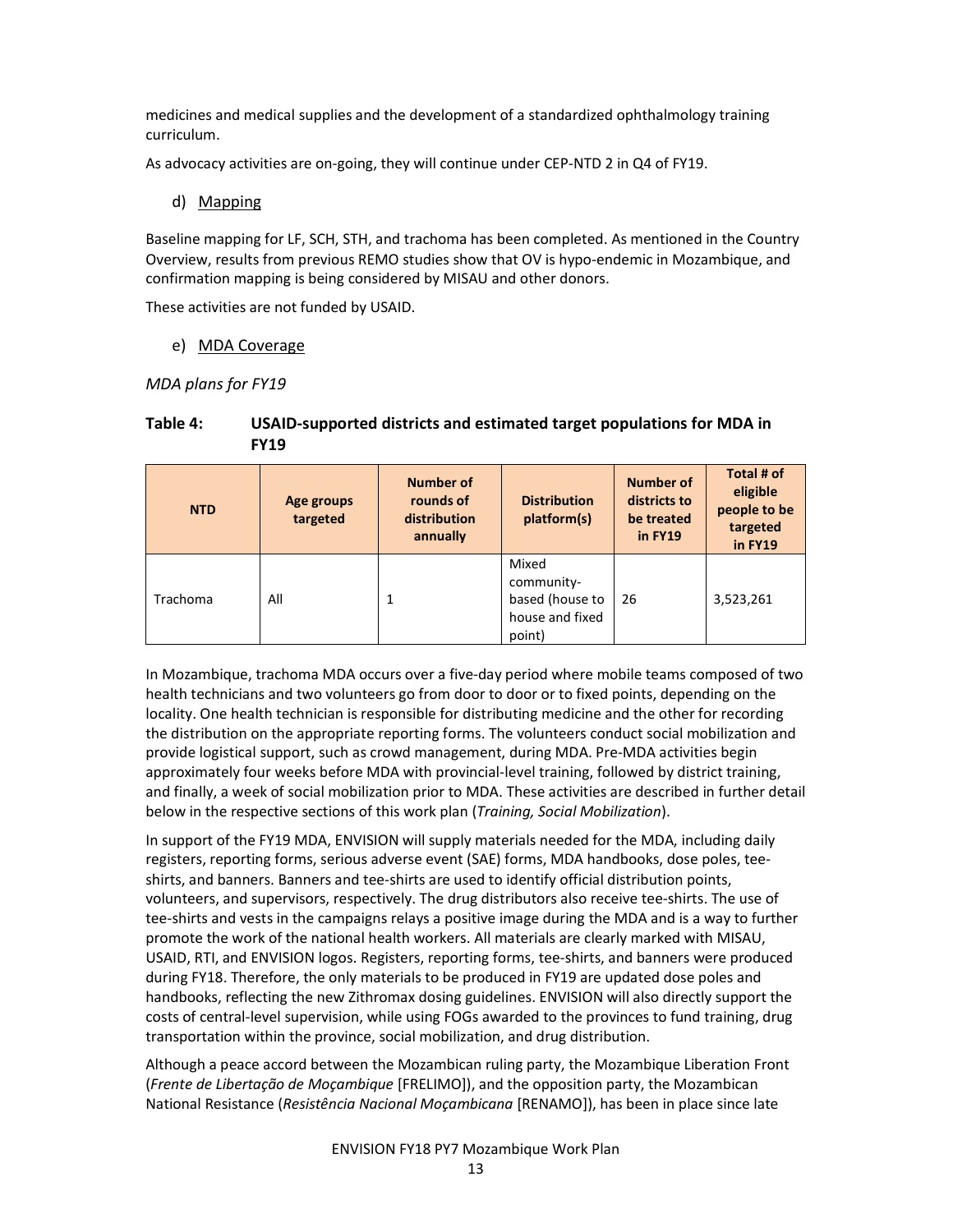medicines and medical supplies and the development of a standardized ophthalmology training curriculum.

As advocacy activities are on-going, they will continue under CEP-NTD 2 in Q4 of FY19.

#### d) Mapping

Baseline mapping for LF, SCH, STH, and trachoma has been completed. As mentioned in the Country Overview, results from previous REMO studies show that OV is hypo-endemic in Mozambique, and confirmation mapping is being considered by MISAU and other donors.

These activities are not funded by USAID.

#### e) MDA Coverage

MDA plans for FY19

| <b>NTD</b> | Age groups<br>targeted | <b>Number of</b><br>rounds of<br>distribution<br>annually | <b>Distribution</b><br>platform(s)                                  | <b>Number of</b><br>districts to<br>be treated<br>in FY19 | Total # of<br>eligible<br>people to be<br>targeted<br>in FY19 |
|------------|------------------------|-----------------------------------------------------------|---------------------------------------------------------------------|-----------------------------------------------------------|---------------------------------------------------------------|
| Trachoma   | All                    |                                                           | Mixed<br>community-<br>based (house to<br>house and fixed<br>point) | -26                                                       | 3,523,261                                                     |

#### Table 4: USAID-supported districts and estimated target populations for MDA in FY19

In Mozambique, trachoma MDA occurs over a five-day period where mobile teams composed of two health technicians and two volunteers go from door to door or to fixed points, depending on the locality. One health technician is responsible for distributing medicine and the other for recording the distribution on the appropriate reporting forms. The volunteers conduct social mobilization and provide logistical support, such as crowd management, during MDA. Pre-MDA activities begin approximately four weeks before MDA with provincial-level training, followed by district training, and finally, a week of social mobilization prior to MDA. These activities are described in further detail below in the respective sections of this work plan (Training, Social Mobilization).

In support of the FY19 MDA, ENVISION will supply materials needed for the MDA, including daily registers, reporting forms, serious adverse event (SAE) forms, MDA handbooks, dose poles, teeshirts, and banners. Banners and tee-shirts are used to identify official distribution points, volunteers, and supervisors, respectively. The drug distributors also receive tee-shirts. The use of tee-shirts and vests in the campaigns relays a positive image during the MDA and is a way to further promote the work of the national health workers. All materials are clearly marked with MISAU, USAID, RTI, and ENVISION logos. Registers, reporting forms, tee-shirts, and banners were produced during FY18. Therefore, the only materials to be produced in FY19 are updated dose poles and handbooks, reflecting the new Zithromax dosing guidelines. ENVISION will also directly support the costs of central-level supervision, while using FOGs awarded to the provinces to fund training, drug transportation within the province, social mobilization, and drug distribution.

Although a peace accord between the Mozambican ruling party, the Mozambique Liberation Front (Frente de Libertação de Moçambique [FRELIMO]), and the opposition party, the Mozambican National Resistance (Resistência Nacional Moçambicana [RENAMO]), has been in place since late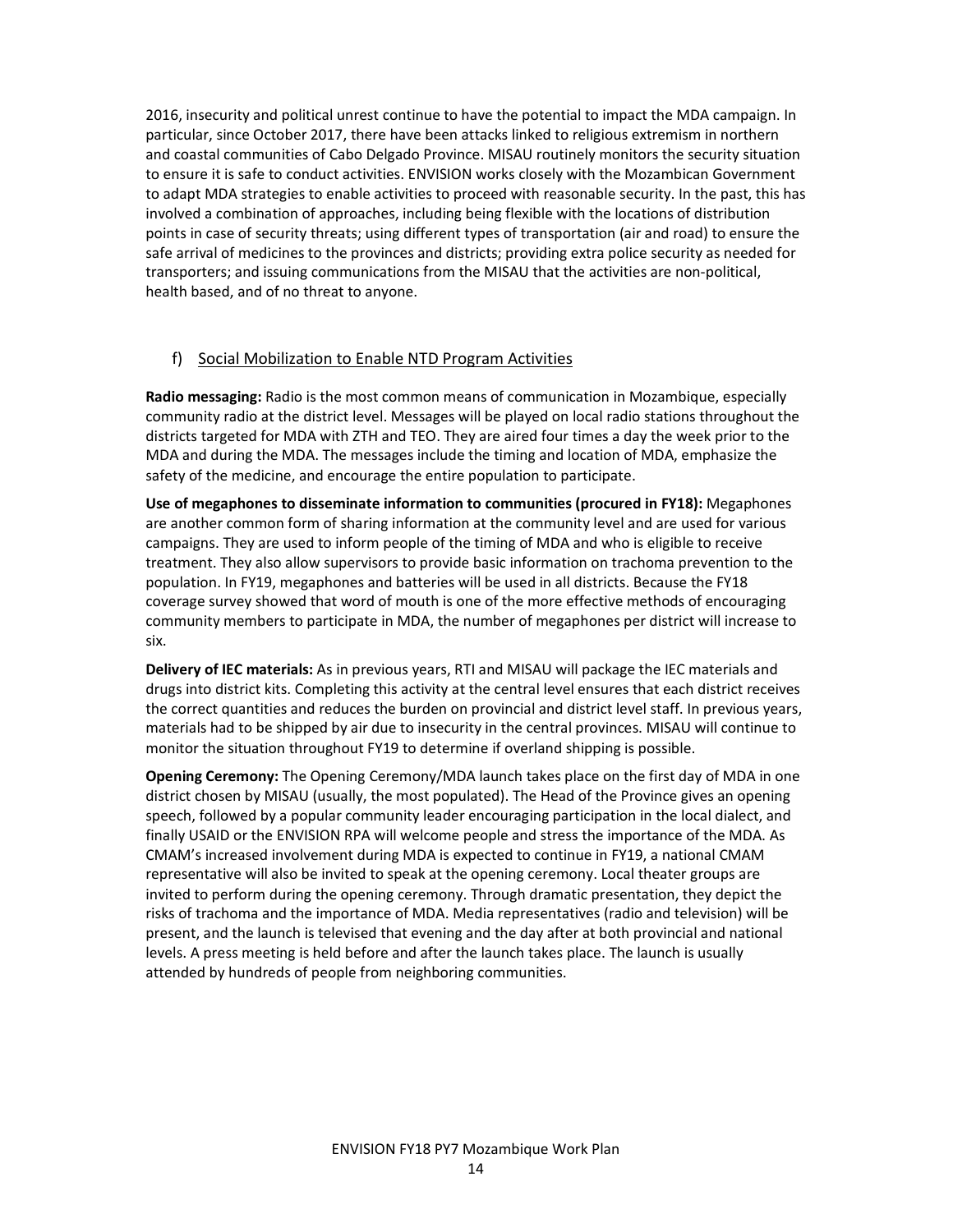2016, insecurity and political unrest continue to have the potential to impact the MDA campaign. In particular, since October 2017, there have been attacks linked to religious extremism in northern and coastal communities of Cabo Delgado Province. MISAU routinely monitors the security situation to ensure it is safe to conduct activities. ENVISION works closely with the Mozambican Government to adapt MDA strategies to enable activities to proceed with reasonable security. In the past, this has involved a combination of approaches, including being flexible with the locations of distribution points in case of security threats; using different types of transportation (air and road) to ensure the safe arrival of medicines to the provinces and districts; providing extra police security as needed for transporters; and issuing communications from the MISAU that the activities are non-political, health based, and of no threat to anyone.

#### f) Social Mobilization to Enable NTD Program Activities

Radio messaging: Radio is the most common means of communication in Mozambique, especially community radio at the district level. Messages will be played on local radio stations throughout the districts targeted for MDA with ZTH and TEO. They are aired four times a day the week prior to the MDA and during the MDA. The messages include the timing and location of MDA, emphasize the safety of the medicine, and encourage the entire population to participate.

Use of megaphones to disseminate information to communities (procured in FY18): Megaphones are another common form of sharing information at the community level and are used for various campaigns. They are used to inform people of the timing of MDA and who is eligible to receive treatment. They also allow supervisors to provide basic information on trachoma prevention to the population. In FY19, megaphones and batteries will be used in all districts. Because the FY18 coverage survey showed that word of mouth is one of the more effective methods of encouraging community members to participate in MDA, the number of megaphones per district will increase to six.

Delivery of IEC materials: As in previous years, RTI and MISAU will package the IEC materials and drugs into district kits. Completing this activity at the central level ensures that each district receives the correct quantities and reduces the burden on provincial and district level staff. In previous years, materials had to be shipped by air due to insecurity in the central provinces. MISAU will continue to monitor the situation throughout FY19 to determine if overland shipping is possible.

**Opening Ceremony:** The Opening Ceremony/MDA launch takes place on the first day of MDA in one district chosen by MISAU (usually, the most populated). The Head of the Province gives an opening speech, followed by a popular community leader encouraging participation in the local dialect, and finally USAID or the ENVISION RPA will welcome people and stress the importance of the MDA. As CMAM's increased involvement during MDA is expected to continue in FY19, a national CMAM representative will also be invited to speak at the opening ceremony. Local theater groups are invited to perform during the opening ceremony. Through dramatic presentation, they depict the risks of trachoma and the importance of MDA. Media representatives (radio and television) will be present, and the launch is televised that evening and the day after at both provincial and national levels. A press meeting is held before and after the launch takes place. The launch is usually attended by hundreds of people from neighboring communities.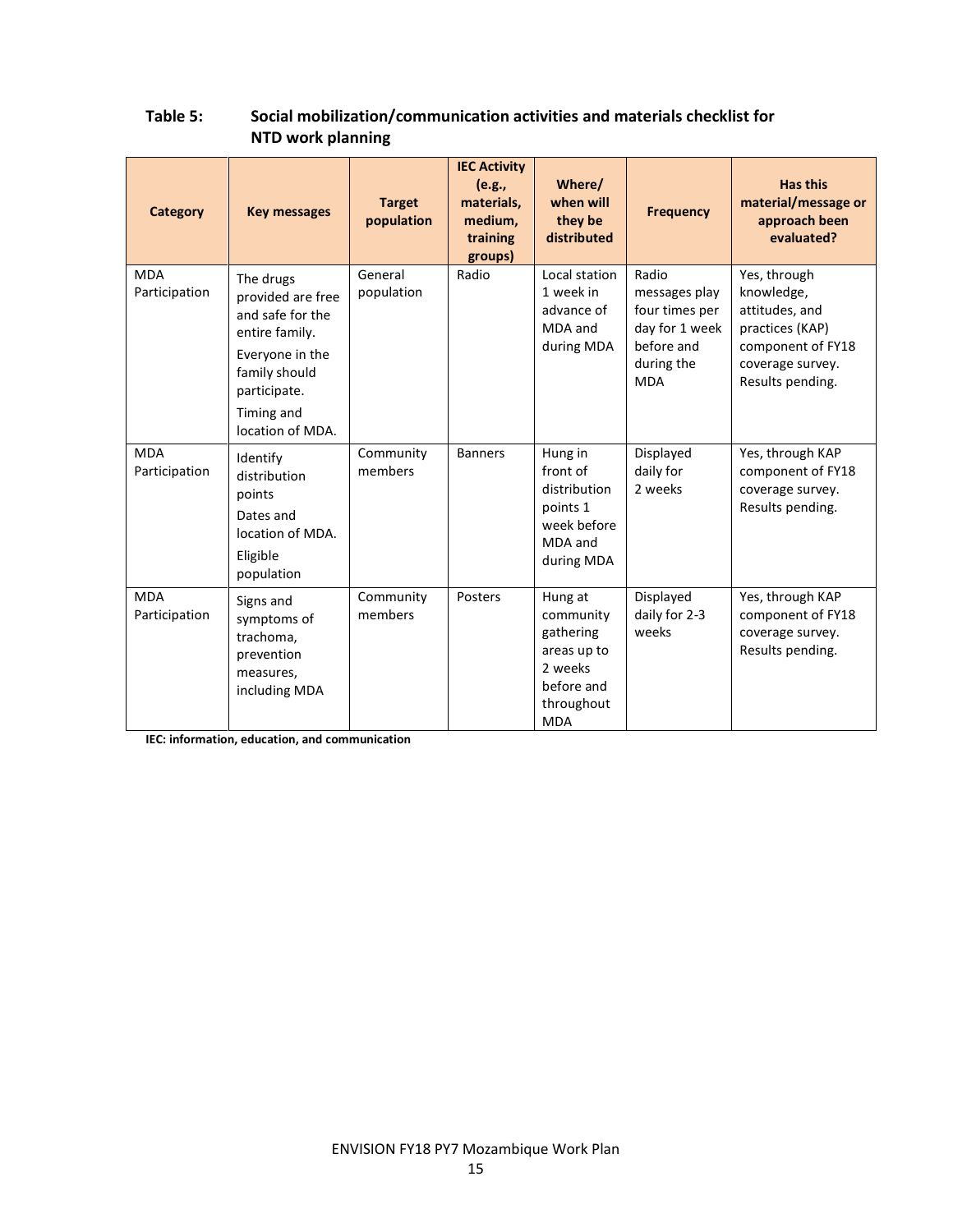| <b>Category</b>             | <b>Key messages</b>                                                                                                                                        | <b>Target</b><br>population | <b>IEC Activity</b><br>(e.g.,<br>materials,<br>medium,<br>training<br>groups) | Where/<br>when will<br>they be<br>distributed                                                         | <b>Frequency</b>                                                                                     | <b>Has this</b><br>material/message or<br>approach been<br>evaluated?                                                        |
|-----------------------------|------------------------------------------------------------------------------------------------------------------------------------------------------------|-----------------------------|-------------------------------------------------------------------------------|-------------------------------------------------------------------------------------------------------|------------------------------------------------------------------------------------------------------|------------------------------------------------------------------------------------------------------------------------------|
| <b>MDA</b><br>Participation | The drugs<br>provided are free<br>and safe for the<br>entire family.<br>Everyone in the<br>family should<br>participate.<br>Timing and<br>location of MDA. | General<br>population       | Radio                                                                         | Local station<br>1 week in<br>advance of<br>MDA and<br>during MDA                                     | Radio<br>messages play<br>four times per<br>day for 1 week<br>before and<br>during the<br><b>MDA</b> | Yes, through<br>knowledge,<br>attitudes, and<br>practices (KAP)<br>component of FY18<br>coverage survey.<br>Results pending. |
| <b>MDA</b><br>Participation | Identify<br>distribution<br>points<br>Dates and<br>location of MDA.<br>Eligible<br>population                                                              | Community<br>members        | <b>Banners</b>                                                                | Hung in<br>front of<br>distribution<br>points 1<br>week before<br>MDA and<br>during MDA               | Displayed<br>daily for<br>2 weeks                                                                    | Yes, through KAP<br>component of FY18<br>coverage survey.<br>Results pending.                                                |
| <b>MDA</b><br>Participation | Signs and<br>symptoms of<br>trachoma,<br>prevention<br>measures,<br>including MDA                                                                          | Community<br>members        | Posters                                                                       | Hung at<br>community<br>gathering<br>areas up to<br>2 weeks<br>before and<br>throughout<br><b>MDA</b> | Displayed<br>daily for 2-3<br>weeks                                                                  | Yes, through KAP<br>component of FY18<br>coverage survey.<br>Results pending.                                                |

## Table 5: Social mobilization/communication activities and materials checklist for NTD work planning

IEC: information, education, and communication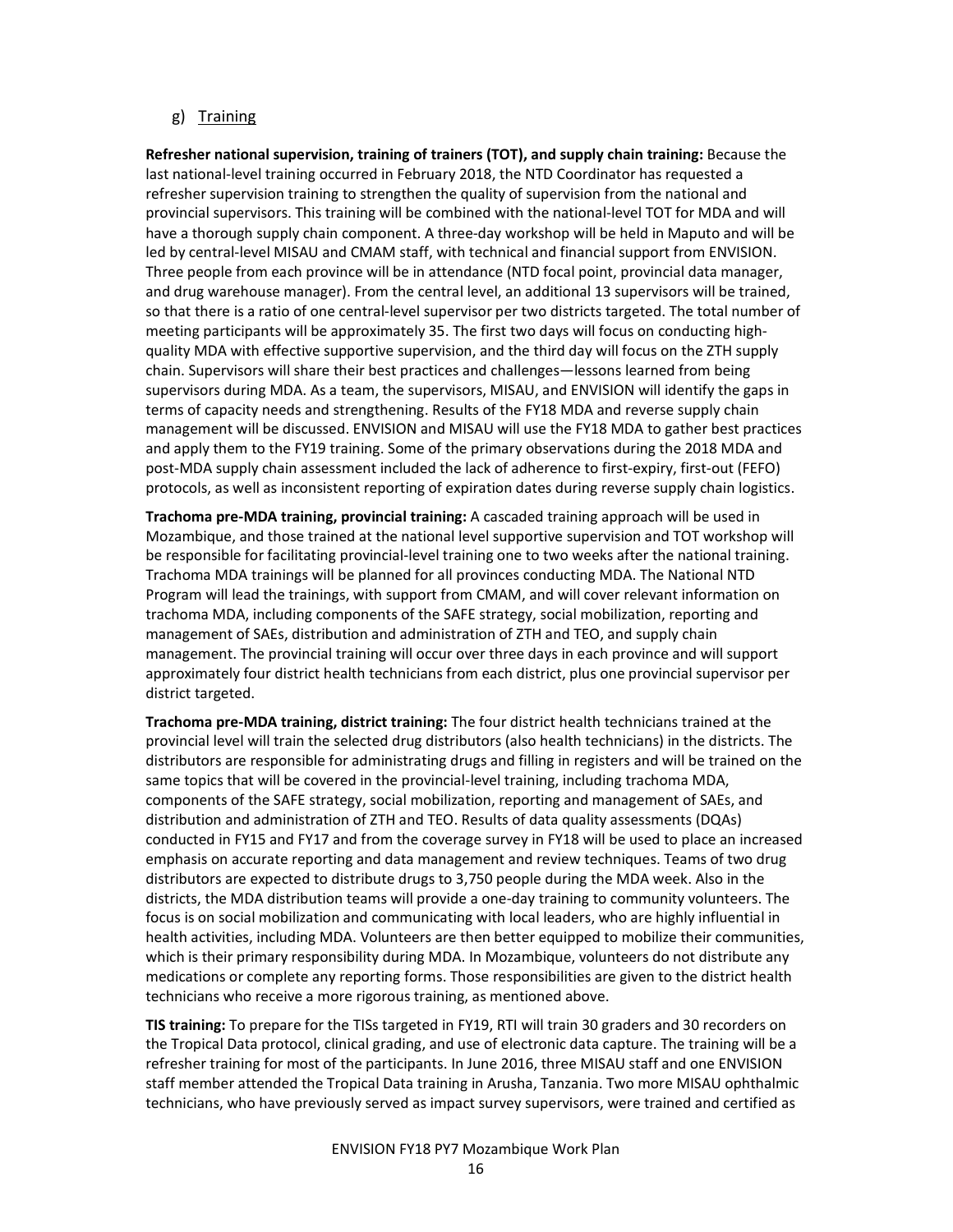#### g) Training

Refresher national supervision, training of trainers (TOT), and supply chain training: Because the last national-level training occurred in February 2018, the NTD Coordinator has requested a refresher supervision training to strengthen the quality of supervision from the national and provincial supervisors. This training will be combined with the national-level TOT for MDA and will have a thorough supply chain component. A three-day workshop will be held in Maputo and will be led by central-level MISAU and CMAM staff, with technical and financial support from ENVISION. Three people from each province will be in attendance (NTD focal point, provincial data manager, and drug warehouse manager). From the central level, an additional 13 supervisors will be trained, so that there is a ratio of one central-level supervisor per two districts targeted. The total number of meeting participants will be approximately 35. The first two days will focus on conducting highquality MDA with effective supportive supervision, and the third day will focus on the ZTH supply chain. Supervisors will share their best practices and challenges—lessons learned from being supervisors during MDA. As a team, the supervisors, MISAU, and ENVISION will identify the gaps in terms of capacity needs and strengthening. Results of the FY18 MDA and reverse supply chain management will be discussed. ENVISION and MISAU will use the FY18 MDA to gather best practices and apply them to the FY19 training. Some of the primary observations during the 2018 MDA and post-MDA supply chain assessment included the lack of adherence to first-expiry, first-out (FEFO) protocols, as well as inconsistent reporting of expiration dates during reverse supply chain logistics.

Trachoma pre-MDA training, provincial training: A cascaded training approach will be used in Mozambique, and those trained at the national level supportive supervision and TOT workshop will be responsible for facilitating provincial-level training one to two weeks after the national training. Trachoma MDA trainings will be planned for all provinces conducting MDA. The National NTD Program will lead the trainings, with support from CMAM, and will cover relevant information on trachoma MDA, including components of the SAFE strategy, social mobilization, reporting and management of SAEs, distribution and administration of ZTH and TEO, and supply chain management. The provincial training will occur over three days in each province and will support approximately four district health technicians from each district, plus one provincial supervisor per district targeted.

Trachoma pre-MDA training, district training: The four district health technicians trained at the provincial level will train the selected drug distributors (also health technicians) in the districts. The distributors are responsible for administrating drugs and filling in registers and will be trained on the same topics that will be covered in the provincial-level training, including trachoma MDA, components of the SAFE strategy, social mobilization, reporting and management of SAEs, and distribution and administration of ZTH and TEO. Results of data quality assessments (DQAs) conducted in FY15 and FY17 and from the coverage survey in FY18 will be used to place an increased emphasis on accurate reporting and data management and review techniques. Teams of two drug distributors are expected to distribute drugs to 3,750 people during the MDA week. Also in the districts, the MDA distribution teams will provide a one-day training to community volunteers. The focus is on social mobilization and communicating with local leaders, who are highly influential in health activities, including MDA. Volunteers are then better equipped to mobilize their communities, which is their primary responsibility during MDA. In Mozambique, volunteers do not distribute any medications or complete any reporting forms. Those responsibilities are given to the district health technicians who receive a more rigorous training, as mentioned above.

TIS training: To prepare for the TISs targeted in FY19, RTI will train 30 graders and 30 recorders on the Tropical Data protocol, clinical grading, and use of electronic data capture. The training will be a refresher training for most of the participants. In June 2016, three MISAU staff and one ENVISION staff member attended the Tropical Data training in Arusha, Tanzania. Two more MISAU ophthalmic technicians, who have previously served as impact survey supervisors, were trained and certified as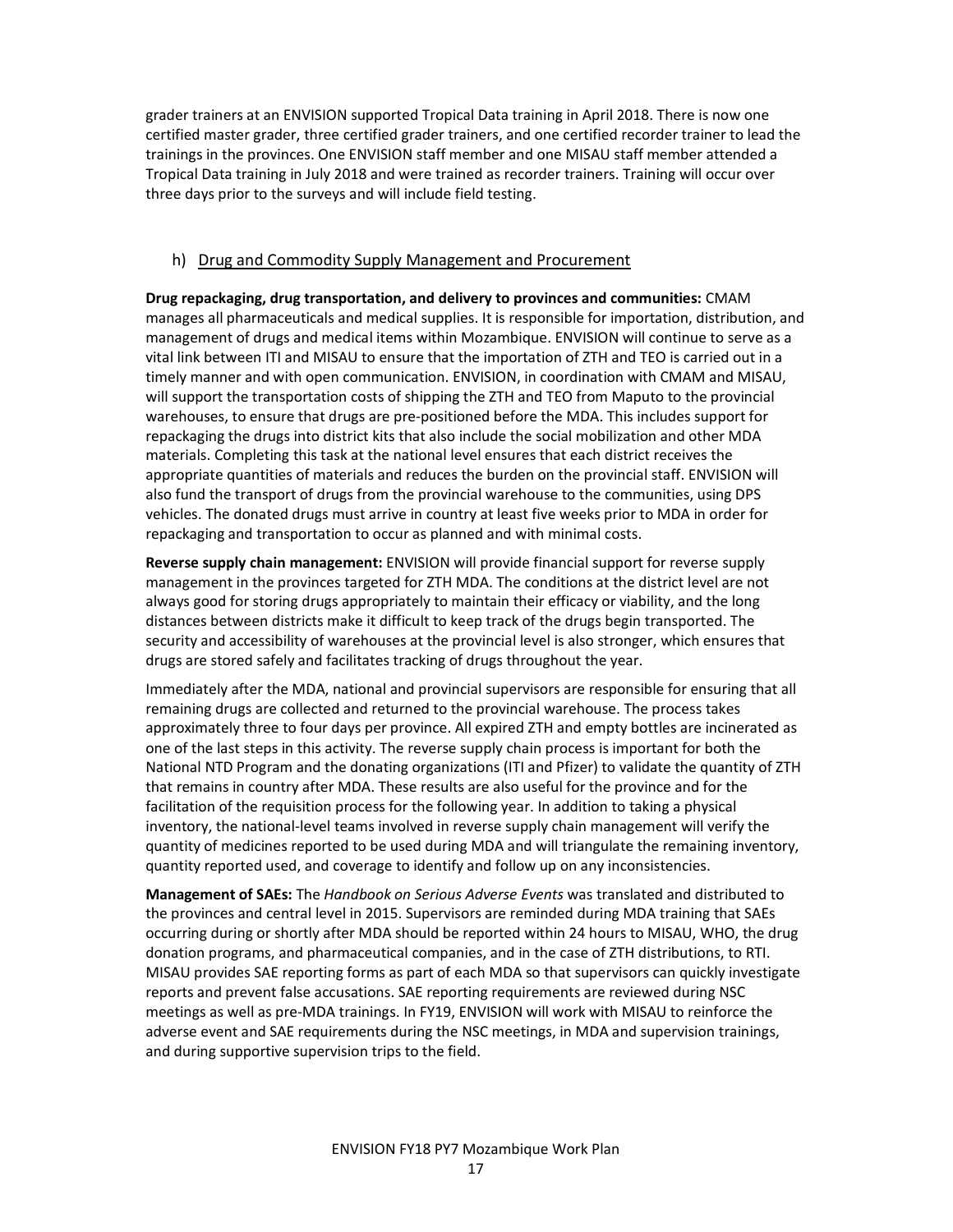grader trainers at an ENVISION supported Tropical Data training in April 2018. There is now one certified master grader, three certified grader trainers, and one certified recorder trainer to lead the trainings in the provinces. One ENVISION staff member and one MISAU staff member attended a Tropical Data training in July 2018 and were trained as recorder trainers. Training will occur over three days prior to the surveys and will include field testing.

#### h) Drug and Commodity Supply Management and Procurement

Drug repackaging, drug transportation, and delivery to provinces and communities: CMAM manages all pharmaceuticals and medical supplies. It is responsible for importation, distribution, and management of drugs and medical items within Mozambique. ENVISION will continue to serve as a vital link between ITI and MISAU to ensure that the importation of ZTH and TEO is carried out in a timely manner and with open communication. ENVISION, in coordination with CMAM and MISAU, will support the transportation costs of shipping the ZTH and TEO from Maputo to the provincial warehouses, to ensure that drugs are pre-positioned before the MDA. This includes support for repackaging the drugs into district kits that also include the social mobilization and other MDA materials. Completing this task at the national level ensures that each district receives the appropriate quantities of materials and reduces the burden on the provincial staff. ENVISION will also fund the transport of drugs from the provincial warehouse to the communities, using DPS vehicles. The donated drugs must arrive in country at least five weeks prior to MDA in order for repackaging and transportation to occur as planned and with minimal costs.

Reverse supply chain management: ENVISION will provide financial support for reverse supply management in the provinces targeted for ZTH MDA. The conditions at the district level are not always good for storing drugs appropriately to maintain their efficacy or viability, and the long distances between districts make it difficult to keep track of the drugs begin transported. The security and accessibility of warehouses at the provincial level is also stronger, which ensures that drugs are stored safely and facilitates tracking of drugs throughout the year.

Immediately after the MDA, national and provincial supervisors are responsible for ensuring that all remaining drugs are collected and returned to the provincial warehouse. The process takes approximately three to four days per province. All expired ZTH and empty bottles are incinerated as one of the last steps in this activity. The reverse supply chain process is important for both the National NTD Program and the donating organizations (ITI and Pfizer) to validate the quantity of ZTH that remains in country after MDA. These results are also useful for the province and for the facilitation of the requisition process for the following year. In addition to taking a physical inventory, the national-level teams involved in reverse supply chain management will verify the quantity of medicines reported to be used during MDA and will triangulate the remaining inventory, quantity reported used, and coverage to identify and follow up on any inconsistencies.

Management of SAEs: The Handbook on Serious Adverse Events was translated and distributed to the provinces and central level in 2015. Supervisors are reminded during MDA training that SAEs occurring during or shortly after MDA should be reported within 24 hours to MISAU, WHO, the drug donation programs, and pharmaceutical companies, and in the case of ZTH distributions, to RTI. MISAU provides SAE reporting forms as part of each MDA so that supervisors can quickly investigate reports and prevent false accusations. SAE reporting requirements are reviewed during NSC meetings as well as pre-MDA trainings. In FY19, ENVISION will work with MISAU to reinforce the adverse event and SAE requirements during the NSC meetings, in MDA and supervision trainings, and during supportive supervision trips to the field.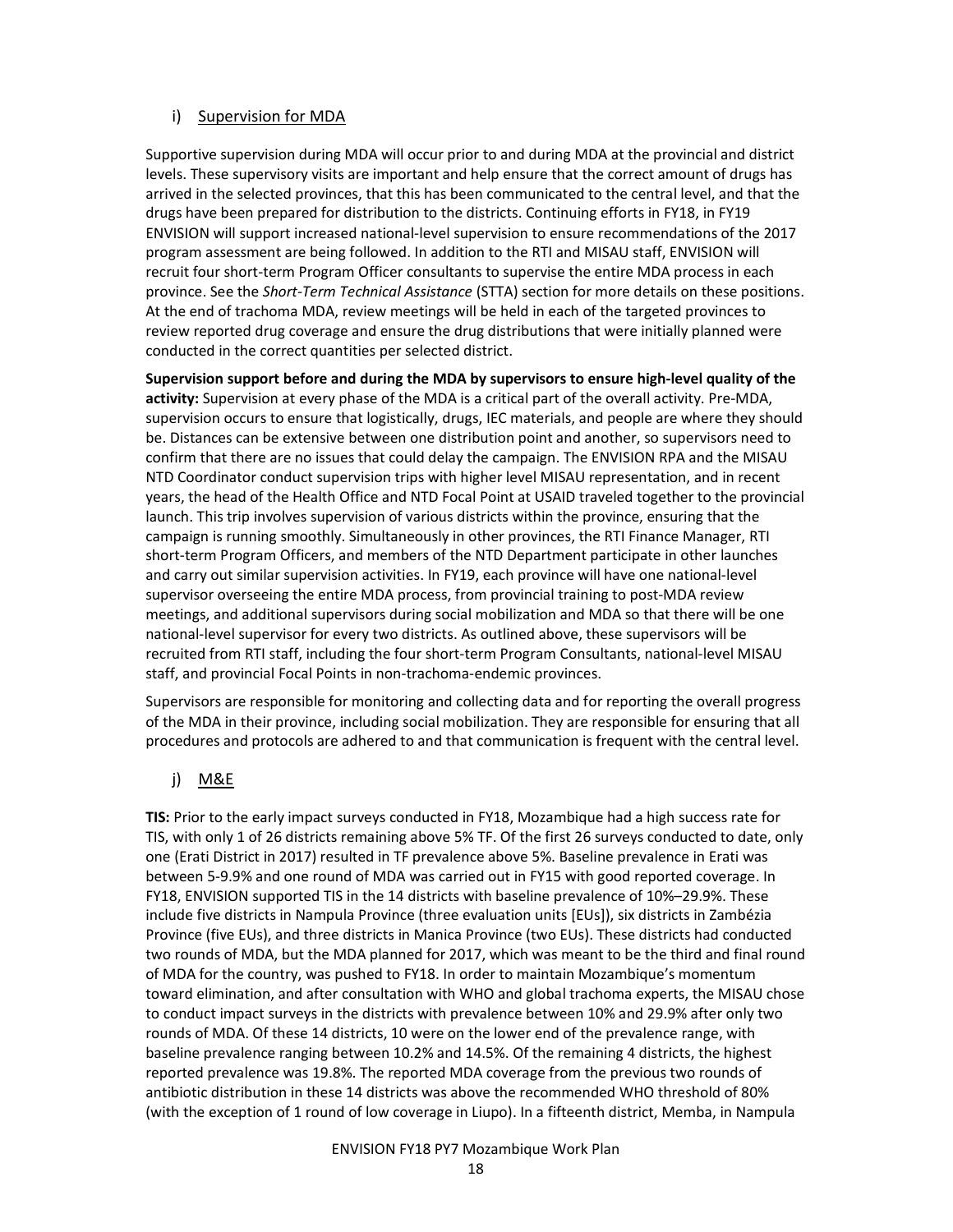#### i) Supervision for MDA

Supportive supervision during MDA will occur prior to and during MDA at the provincial and district levels. These supervisory visits are important and help ensure that the correct amount of drugs has arrived in the selected provinces, that this has been communicated to the central level, and that the drugs have been prepared for distribution to the districts. Continuing efforts in FY18, in FY19 ENVISION will support increased national-level supervision to ensure recommendations of the 2017 program assessment are being followed. In addition to the RTI and MISAU staff, ENVISION will recruit four short-term Program Officer consultants to supervise the entire MDA process in each province. See the Short-Term Technical Assistance (STTA) section for more details on these positions. At the end of trachoma MDA, review meetings will be held in each of the targeted provinces to review reported drug coverage and ensure the drug distributions that were initially planned were conducted in the correct quantities per selected district.

Supervision support before and during the MDA by supervisors to ensure high-level quality of the activity: Supervision at every phase of the MDA is a critical part of the overall activity. Pre-MDA, supervision occurs to ensure that logistically, drugs, IEC materials, and people are where they should be. Distances can be extensive between one distribution point and another, so supervisors need to confirm that there are no issues that could delay the campaign. The ENVISION RPA and the MISAU NTD Coordinator conduct supervision trips with higher level MISAU representation, and in recent years, the head of the Health Office and NTD Focal Point at USAID traveled together to the provincial launch. This trip involves supervision of various districts within the province, ensuring that the campaign is running smoothly. Simultaneously in other provinces, the RTI Finance Manager, RTI short-term Program Officers, and members of the NTD Department participate in other launches and carry out similar supervision activities. In FY19, each province will have one national-level supervisor overseeing the entire MDA process, from provincial training to post-MDA review meetings, and additional supervisors during social mobilization and MDA so that there will be one national-level supervisor for every two districts. As outlined above, these supervisors will be recruited from RTI staff, including the four short-term Program Consultants, national-level MISAU staff, and provincial Focal Points in non-trachoma-endemic provinces.

Supervisors are responsible for monitoring and collecting data and for reporting the overall progress of the MDA in their province, including social mobilization. They are responsible for ensuring that all procedures and protocols are adhered to and that communication is frequent with the central level.

#### j) M&E

TIS: Prior to the early impact surveys conducted in FY18, Mozambique had a high success rate for TIS, with only 1 of 26 districts remaining above 5% TF. Of the first 26 surveys conducted to date, only one (Erati District in 2017) resulted in TF prevalence above 5%. Baseline prevalence in Erati was between 5-9.9% and one round of MDA was carried out in FY15 with good reported coverage. In FY18, ENVISION supported TIS in the 14 districts with baseline prevalence of 10%–29.9%. These include five districts in Nampula Province (three evaluation units [EUs]), six districts in Zambézia Province (five EUs), and three districts in Manica Province (two EUs). These districts had conducted two rounds of MDA, but the MDA planned for 2017, which was meant to be the third and final round of MDA for the country, was pushed to FY18. In order to maintain Mozambique's momentum toward elimination, and after consultation with WHO and global trachoma experts, the MISAU chose to conduct impact surveys in the districts with prevalence between 10% and 29.9% after only two rounds of MDA. Of these 14 districts, 10 were on the lower end of the prevalence range, with baseline prevalence ranging between 10.2% and 14.5%. Of the remaining 4 districts, the highest reported prevalence was 19.8%. The reported MDA coverage from the previous two rounds of antibiotic distribution in these 14 districts was above the recommended WHO threshold of 80% (with the exception of 1 round of low coverage in Liupo). In a fifteenth district, Memba, in Nampula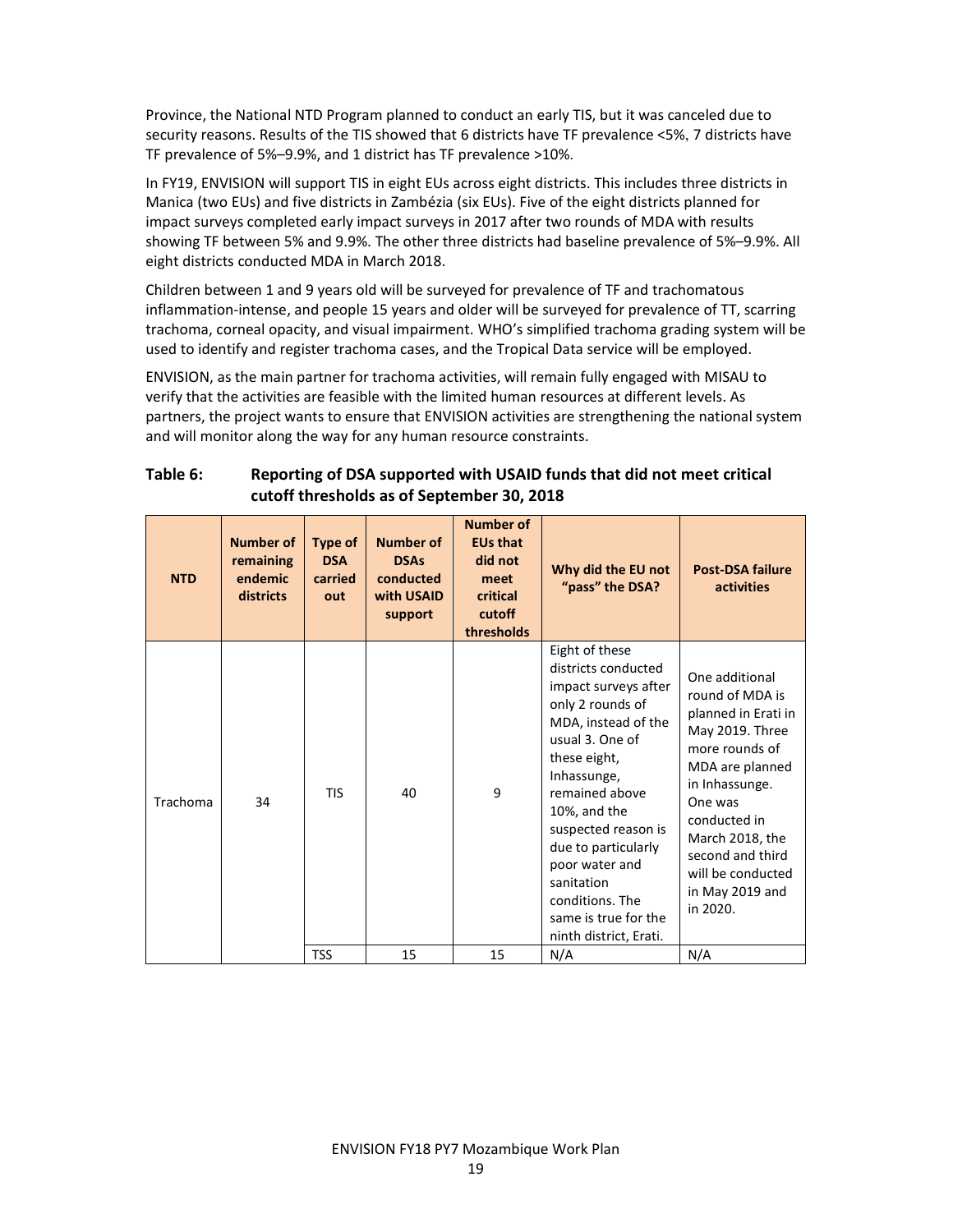Province, the National NTD Program planned to conduct an early TIS, but it was canceled due to security reasons. Results of the TIS showed that 6 districts have TF prevalence <5%, 7 districts have TF prevalence of 5%–9.9%, and 1 district has TF prevalence >10%.

In FY19, ENVISION will support TIS in eight EUs across eight districts. This includes three districts in Manica (two EUs) and five districts in Zambézia (six EUs). Five of the eight districts planned for impact surveys completed early impact surveys in 2017 after two rounds of MDA with results showing TF between 5% and 9.9%. The other three districts had baseline prevalence of 5%–9.9%. All eight districts conducted MDA in March 2018.

Children between 1 and 9 years old will be surveyed for prevalence of TF and trachomatous inflammation-intense, and people 15 years and older will be surveyed for prevalence of TT, scarring trachoma, corneal opacity, and visual impairment. WHO's simplified trachoma grading system will be used to identify and register trachoma cases, and the Tropical Data service will be employed.

ENVISION, as the main partner for trachoma activities, will remain fully engaged with MISAU to verify that the activities are feasible with the limited human resources at different levels. As partners, the project wants to ensure that ENVISION activities are strengthening the national system and will monitor along the way for any human resource constraints.

|            | cuton thresholds as or september 30, 2018             |                                         |                                                                       |                                                                                            |                                                                                                                                                                                                                                                                                                                                                 |                                                                                                                                                                                                                                                          |  |  |
|------------|-------------------------------------------------------|-----------------------------------------|-----------------------------------------------------------------------|--------------------------------------------------------------------------------------------|-------------------------------------------------------------------------------------------------------------------------------------------------------------------------------------------------------------------------------------------------------------------------------------------------------------------------------------------------|----------------------------------------------------------------------------------------------------------------------------------------------------------------------------------------------------------------------------------------------------------|--|--|
| <b>NTD</b> | <b>Number of</b><br>remaining<br>endemic<br>districts | Type of<br><b>DSA</b><br>carried<br>out | <b>Number of</b><br><b>DSAs</b><br>conducted<br>with USAID<br>support | <b>Number of</b><br><b>EUs that</b><br>did not<br>meet<br>critical<br>cutoff<br>thresholds | Why did the EU not<br>"pass" the DSA?                                                                                                                                                                                                                                                                                                           | <b>Post-DSA failure</b><br>activities                                                                                                                                                                                                                    |  |  |
| Trachoma   | 34                                                    | <b>TIS</b>                              | 40                                                                    | 9                                                                                          | Eight of these<br>districts conducted<br>impact surveys after<br>only 2 rounds of<br>MDA, instead of the<br>usual 3. One of<br>these eight,<br>Inhassunge,<br>remained above<br>10%, and the<br>suspected reason is<br>due to particularly<br>poor water and<br>sanitation<br>conditions. The<br>same is true for the<br>ninth district, Erati. | One additional<br>round of MDA is<br>planned in Erati in<br>May 2019. Three<br>more rounds of<br>MDA are planned<br>in Inhassunge.<br>One was<br>conducted in<br>March 2018, the<br>second and third<br>will be conducted<br>in May 2019 and<br>in 2020. |  |  |
|            |                                                       | <b>TSS</b>                              | 15                                                                    | 15                                                                                         | N/A                                                                                                                                                                                                                                                                                                                                             | N/A                                                                                                                                                                                                                                                      |  |  |

#### Table 6: Reporting of DSA supported with USAID funds that did not meet critical cutoff thresholds as of September 30, 2018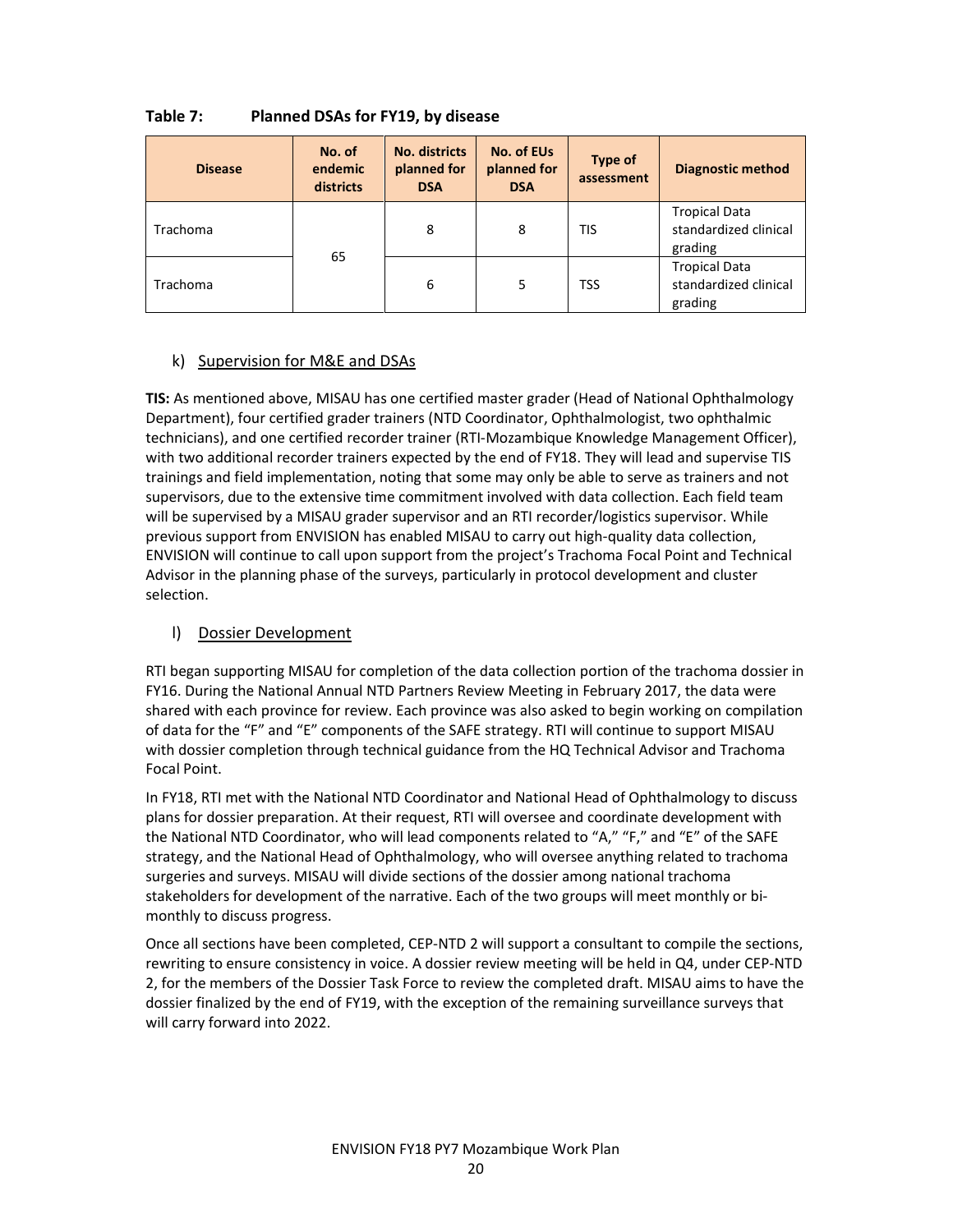| <b>Disease</b> | No. of<br>endemic<br>districts | <b>No. districts</b><br>planned for<br><b>DSA</b> | No. of EUs<br>planned for<br><b>DSA</b> | Type of<br>assessment | <b>Diagnostic method</b>                                 |
|----------------|--------------------------------|---------------------------------------------------|-----------------------------------------|-----------------------|----------------------------------------------------------|
| Trachoma       |                                | 8                                                 | 8                                       | <b>TIS</b>            | <b>Tropical Data</b><br>standardized clinical<br>grading |
| Trachoma       | 65                             | 6                                                 | 5                                       | <b>TSS</b>            | <b>Tropical Data</b><br>standardized clinical<br>grading |

#### Table 7: Planned DSAs for FY19, by disease

#### k) Supervision for M&E and DSAs

TIS: As mentioned above, MISAU has one certified master grader (Head of National Ophthalmology Department), four certified grader trainers (NTD Coordinator, Ophthalmologist, two ophthalmic technicians), and one certified recorder trainer (RTI-Mozambique Knowledge Management Officer), with two additional recorder trainers expected by the end of FY18. They will lead and supervise TIS trainings and field implementation, noting that some may only be able to serve as trainers and not supervisors, due to the extensive time commitment involved with data collection. Each field team will be supervised by a MISAU grader supervisor and an RTI recorder/logistics supervisor. While previous support from ENVISION has enabled MISAU to carry out high-quality data collection, ENVISION will continue to call upon support from the project's Trachoma Focal Point and Technical Advisor in the planning phase of the surveys, particularly in protocol development and cluster selection.

#### l) Dossier Development

RTI began supporting MISAU for completion of the data collection portion of the trachoma dossier in FY16. During the National Annual NTD Partners Review Meeting in February 2017, the data were shared with each province for review. Each province was also asked to begin working on compilation of data for the "F" and "E" components of the SAFE strategy. RTI will continue to support MISAU with dossier completion through technical guidance from the HQ Technical Advisor and Trachoma Focal Point.

In FY18, RTI met with the National NTD Coordinator and National Head of Ophthalmology to discuss plans for dossier preparation. At their request, RTI will oversee and coordinate development with the National NTD Coordinator, who will lead components related to "A," "F," and "E" of the SAFE strategy, and the National Head of Ophthalmology, who will oversee anything related to trachoma surgeries and surveys. MISAU will divide sections of the dossier among national trachoma stakeholders for development of the narrative. Each of the two groups will meet monthly or bimonthly to discuss progress.

Once all sections have been completed, CEP-NTD 2 will support a consultant to compile the sections, rewriting to ensure consistency in voice. A dossier review meeting will be held in Q4, under CEP-NTD 2, for the members of the Dossier Task Force to review the completed draft. MISAU aims to have the dossier finalized by the end of FY19, with the exception of the remaining surveillance surveys that will carry forward into 2022.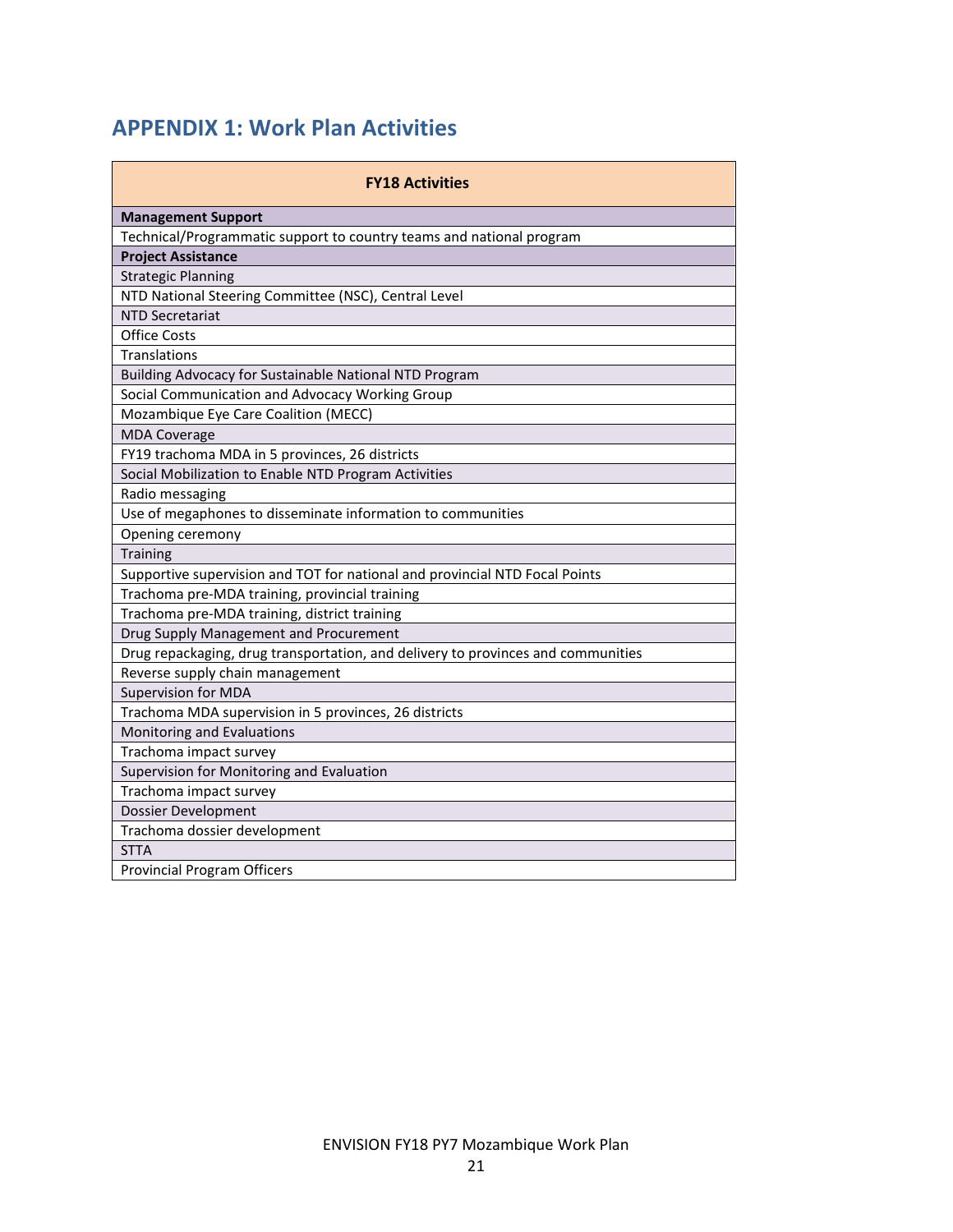# APPENDIX 1: Work Plan Activities

| <b>FY18 Activities</b>                                                           |  |  |  |  |
|----------------------------------------------------------------------------------|--|--|--|--|
| <b>Management Support</b>                                                        |  |  |  |  |
| Technical/Programmatic support to country teams and national program             |  |  |  |  |
| <b>Project Assistance</b>                                                        |  |  |  |  |
| <b>Strategic Planning</b>                                                        |  |  |  |  |
| NTD National Steering Committee (NSC), Central Level                             |  |  |  |  |
| <b>NTD Secretariat</b>                                                           |  |  |  |  |
| <b>Office Costs</b>                                                              |  |  |  |  |
| <b>Translations</b>                                                              |  |  |  |  |
| Building Advocacy for Sustainable National NTD Program                           |  |  |  |  |
| Social Communication and Advocacy Working Group                                  |  |  |  |  |
| Mozambique Eye Care Coalition (MECC)                                             |  |  |  |  |
| <b>MDA Coverage</b>                                                              |  |  |  |  |
| FY19 trachoma MDA in 5 provinces, 26 districts                                   |  |  |  |  |
| Social Mobilization to Enable NTD Program Activities                             |  |  |  |  |
| Radio messaging                                                                  |  |  |  |  |
| Use of megaphones to disseminate information to communities                      |  |  |  |  |
| Opening ceremony                                                                 |  |  |  |  |
| <b>Training</b>                                                                  |  |  |  |  |
| Supportive supervision and TOT for national and provincial NTD Focal Points      |  |  |  |  |
| Trachoma pre-MDA training, provincial training                                   |  |  |  |  |
| Trachoma pre-MDA training, district training                                     |  |  |  |  |
| Drug Supply Management and Procurement                                           |  |  |  |  |
| Drug repackaging, drug transportation, and delivery to provinces and communities |  |  |  |  |
| Reverse supply chain management                                                  |  |  |  |  |
| <b>Supervision for MDA</b>                                                       |  |  |  |  |
| Trachoma MDA supervision in 5 provinces, 26 districts                            |  |  |  |  |
| Monitoring and Evaluations                                                       |  |  |  |  |
| Trachoma impact survey                                                           |  |  |  |  |
| Supervision for Monitoring and Evaluation                                        |  |  |  |  |
| Trachoma impact survey                                                           |  |  |  |  |
| Dossier Development                                                              |  |  |  |  |
| Trachoma dossier development                                                     |  |  |  |  |
| <b>STTA</b>                                                                      |  |  |  |  |
| <b>Provincial Program Officers</b>                                               |  |  |  |  |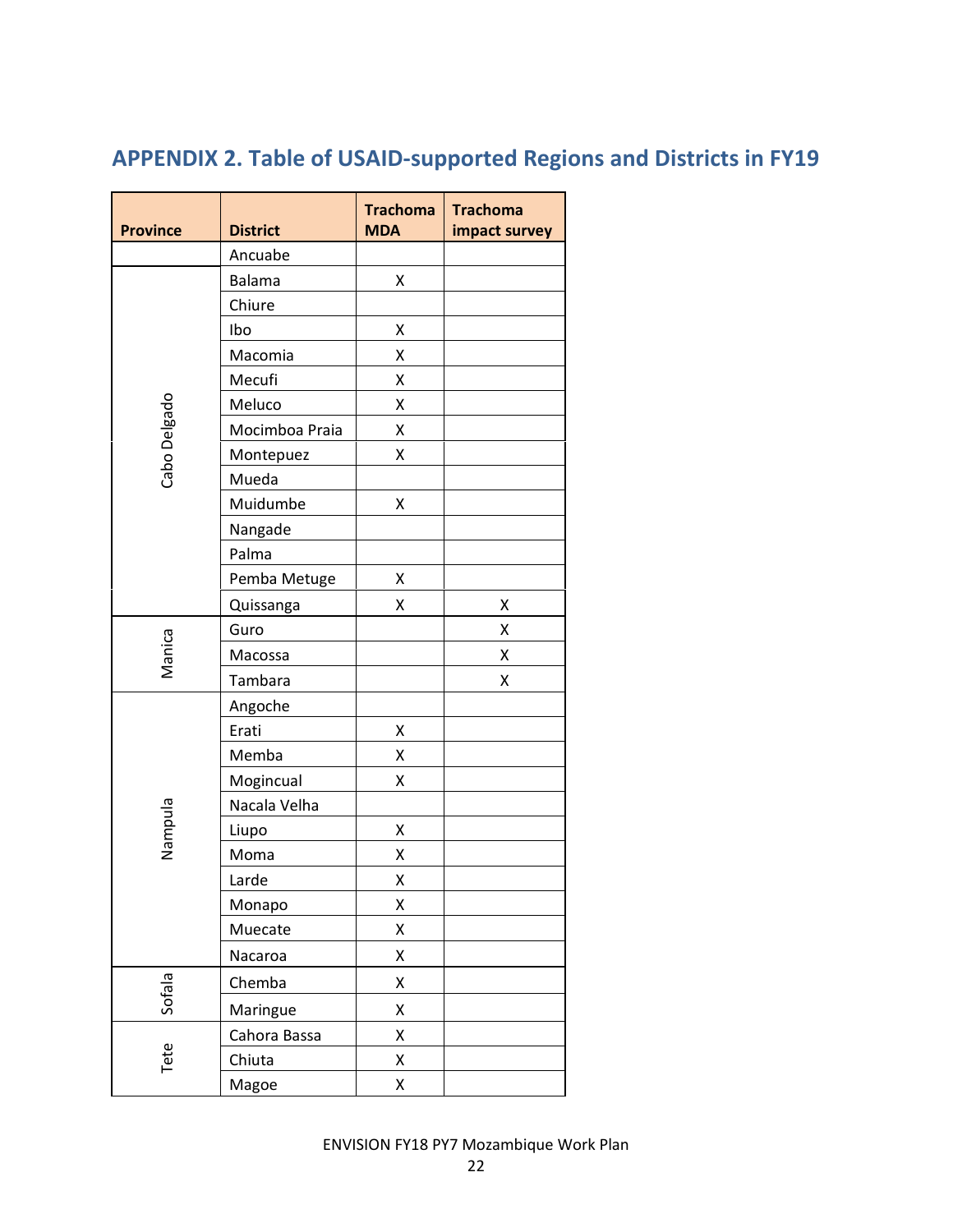# APPENDIX 2. Table of USAID-supported Regions and Districts in FY19

| <b>Province</b> | <b>District</b> | <b>Trachoma</b><br><b>MDA</b> | <b>Trachoma</b><br>impact survey |
|-----------------|-----------------|-------------------------------|----------------------------------|
|                 | Ancuabe         |                               |                                  |
| Cabo Delgado    | <b>Balama</b>   | Χ                             |                                  |
|                 | Chiure          |                               |                                  |
|                 | Ibo             | Χ                             |                                  |
|                 | Macomia         | Χ                             |                                  |
|                 | Mecufi          | Χ                             |                                  |
|                 | Meluco          | Χ                             |                                  |
|                 | Mocimboa Praia  | Χ                             |                                  |
|                 | Montepuez       | Χ                             |                                  |
|                 | Mueda           |                               |                                  |
|                 | Muidumbe        | Χ                             |                                  |
|                 | Nangade         |                               |                                  |
|                 | Palma           |                               |                                  |
|                 | Pemba Metuge    | Χ                             |                                  |
|                 | Quissanga       | Χ                             | Χ                                |
| Manica          | Guro            |                               | Χ                                |
|                 | Macossa         |                               | Χ                                |
|                 | Tambara         |                               | Χ                                |
|                 | Angoche         |                               |                                  |
|                 | Erati           | Χ                             |                                  |
|                 | Memba           | Χ                             |                                  |
|                 | Mogincual       | Χ                             |                                  |
|                 | Nacala Velha    |                               |                                  |
| Nampula         | Liupo           | Χ                             |                                  |
|                 | Moma            | Χ                             |                                  |
|                 | Larde           | Χ                             |                                  |
|                 | Monapo          | Χ                             |                                  |
|                 | Muecate         | Χ                             |                                  |
|                 | Nacaroa         | Χ                             |                                  |
| Sofala          | Chemba          | Χ                             |                                  |
|                 | Maringue        | Χ                             |                                  |
| Tete            | Cahora Bassa    | Χ                             |                                  |
|                 | Chiuta          | Χ                             |                                  |
|                 | Magoe           | Χ                             |                                  |